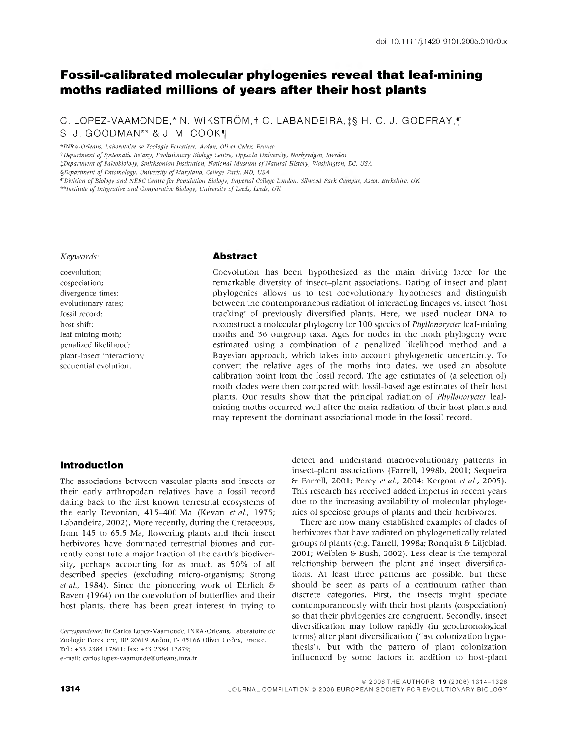# **Fossil-calibrated molecular phyiogenies reveal that leaf-mining moths radiated millions of years after their host plants**

C. LOPEZ-VAAMONDE,\* N. WIKSTRÖM,† C. LABANDEIRA,‡§ H. C. J. GODFRAY,¶ S. J. GOODMAN\*\* & J. M. COOK¶

*\*INRA-Orkans. Laboratoire de Zoologie Forestière, Ardon, Olivet Cedex, France*

*^Department of Systematic Botany, Evolutionary Biology Centre, Uppsala University, Norbyvdgen, Sweden*

*XDepartment of Paleobiology, Smithsonian Institution. National Museum of Natural History, Washington. DC, USA*

*%Department of Entomology, University of Maryland, College Park, MD, USA*

Division of Biology and NERC Centre for Population Biology, Imperial College London, Silwood Park Campus, Ascot, Berkshire, UK

*\*\*Institute of Integrative and Comparative Biology, University of Leeds, Leeds, UK*

#### *Keywords:*

coevolution; cospeciation; divergence times; evolutionary rates; fossil record; host shift; leaf-mining moth; penalized likelihood; plant-insect interactions; sequential evolution.

#### **Abstract**

Coevolution has been hypothesized as the main driving force for the remarkable diversity of insect-plant associations. Dating of insect and plant phyiogenies allows us to test coevolutionary hypotheses and distinguish between the contemporaneous radiation of interacting lineages vs. insect 'host tracking' of previously diversified plants. Here, we used nuclear DNA to reconstruct a molecular phytogeny for 100 species of *Phyllonorycter* leaf-mining moths and 36 outgroup taxa. Ages for nodes in the moth phylogeny were estimated using a combination of a penalized likelihood method and a Bayesian approach, which takes into account phylogenetic uncertainty. To convert the relative ages of the moths into dates, we used an absolute calibration point from the fossil record. The age estimates of (a selection of) moth clades were then compared with fossil-based age estimates of their host plants. Our results show that the principal radiation of *Phyllonorycter* leafmining moths occurred well after the main radiation of their host plants and may represent the dominant associational mode in the fossil record.

#### **Introduction**

The associations between vascular plants and insects or their early arthropodan relatives have a fossil record dating back to the first known terrestrial ecosystems of the early Devonian, 415-400 Ma (Kevan *et al,* 1975; Labandeira, 2002). More recently, during the Cretaceous, from 145 to 65.5 Ma, flowering plants and their insect herbivores have dominated terrestrial biomes and currently constitute a major fraction of the earth's biodiversity, perhaps accounting for as much as 50% of all described species (excluding micro-organisms; Strong *et ai,* 1984). Since the pioneering work of Ehrlich & Raven (1964) on the coevolution of butterflies and their host plants, there has been great interest in trying to

*Correspondence:* Dr Carlos Lopez-Vaamonde, INRA-Orleans, Laboratoire de Zoologie Forestière, BP 20619 Ardon, F- 45166 Olivet Cedex, France. Tel.: +33 2384 17861; fax: +33 2384 17879; e-mail: carlos.lopez-vaamonde@orleans.inra.ir

detect and understand macroevolutionary patterns in insect-plant associations (Farrell, 1998b, 2001; Sequeira & Farrell, 2001; Percy *et al,* 2004; Kergoat *et al,* 2005). This research has received added impetus in recent years due to the increasing avaflability of molecular phyiogenies of speciose groups of plants and their herbivores.

There are now many established examples of clades of herbivores that have radiated on phylogenetically related groups of plants (e.g. Farrell, 1998a; Ronquist & Liljeblad, 2001; Weiblen & Bush, 2002). Less clear is the temporal relationship between the plant and insect diversifications. At least three patterns are possible, but these should be seen as parts of a continuum rather than discrete categories. First, the insects might speciate contemporaneously with their host plants (cospeciation) so that their phyiogenies are congruent. Secondly, insect diversification may follow rapidly (in geochronological terms) after plant diversification ('fast colonization hypothesis'), but with the pattern of plant colonization influenced by some factors in addition to host-plant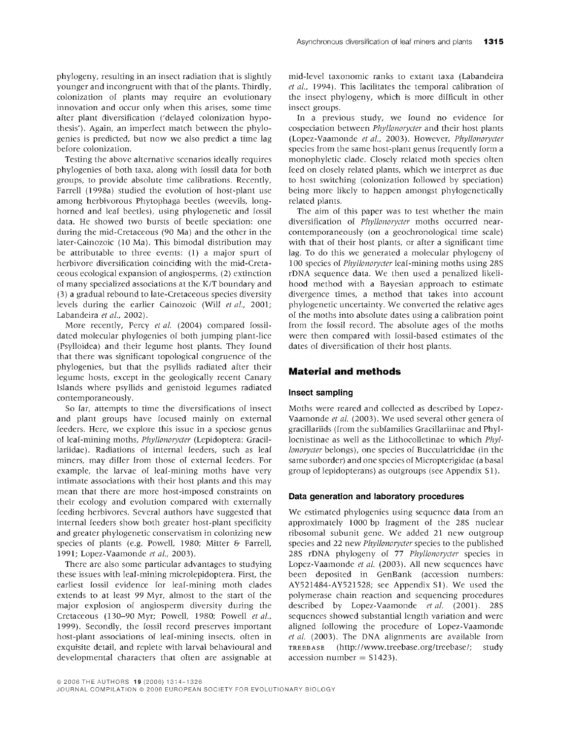phylogeny, resulting in an insect radiation that is slightly younger and incongruent with that of the plants. Thirdly, colonization of plants may require an evolutionary innovation and occur only when this arises, some time after plant diversification ('delayed colonization hypothesis'). Again, an imperfect match between the phylogenies is predicted, but now we also predict a time lag before colonization.

Testing the above alternative scenarios ideally requires phytogenies of both taxa, along with fossil data for both groups, to provide absolute time calibrations. Recently, Farrell (1998a) studied the evolution of host-plant use among herbivorous Phytophaga beetles (weevils, longhorned and leaf beetles), using phylogenetic and fossil data. He showed two bursts of beetle speciation: one during the mid-Cretaceous (90 Ma) and the other in the later-Cainozoic (10 Ma). This bimodal distribution may be attributable to three events: (1) a major spurt of herbivore diversification coinciding with the mid-Cretaceous ecological expansion of angiosperms, (2) extinction of many specialized associations at the K/T boundary and (3) a gradual rebound to late-Cretaceous species diversity levels during the earlier Cainozoic (Wilf et al., 2001; Labandeira *et al,* 2002).

More recently, Percy *et al.* (2004) compared fossildated molecular phylogenies of both jumping plant-lice (Psylloidea) and their legume host plants. They found that there was significant topological congruence of the phylogenies, but that the psyllids radiated after their legume hosts, except in the geologically recent Canary Islands where psyllids and genistoid legumes radiated contemporaneously.

So far, attempts to time the diversifications of insect and plant groups have focused mainly on external feeders. Here, we explore this issue in a speciose genus of leaf-mining moths, *Phyllonorycter* (Lepidoptera: Gracillariidae). Radiations of internal feeders, such as leaf miners, may differ from those of external feeders. For example, the larvae of leaf-mining moths have very intimate associations with their host plants and this may mean that there are more host-imposed constraints on their ecology and evolution compared with externally feeding herbivores. Several authors have suggested that internal feeders show both greater host-plant specificity and greater phylogenetic conservatism in colonizing new species of plants (e.g. Powell, 1980; Mitter & Farrell, 1991; Lopez-Vaamonde *et al,* 2003).

There are also some particular advantages to studying these issues with leaf-mining microlepidoptera. First, the earliest fossil evidence for leaf-mining moth clades extends to at least 99 Myr, almost to the start of the major explosion of angiosperm diversity during the Cretaceous (130-90 Myr; Powell, 1980; Powell et al., 1999). Secondly, the fossil record preserves important host-plant associations of leaf-mining insects, often in exquisite detail, and replete with larval behavioural and developmental characters that often are assignable at

mid-level taxonomic ranks to extant taxa (Labandeira *et al.*, 1994). This facilitates the temporal calibration of the insect phylogeny, which is more difficult in other insect groups.

In a previous study, we found no evidence for cospeciation between *Phyllonorycter* and their host plants (Lopez-Vaamonde *et al,* 2003). However, *Phyllonorycter* species from the same host-plant genus frequently form a monophyletic clade. Closely related moth species often feed on closely related plants, which we interpret as due to host switching (colonization followed by speciation) being more likely to happen amongst phylogenetically related plants.

The aim of this paper was to test whether the main diversification of *Phyllonorycter* moths occurred nearcontemporaneously (on a geochronological time scale) with that of their host plants, or after a significant time lag. To do this we generated a molecular phylogeny of 100 species of *Phyllonorycter* leaf-mining moths using 28S rDNA sequence data. We then used a penalized likelihood method with a Bayesian approach to estimate divergence times, a method that takes into account phylogenetic uncertainty. We converted the relative ages of the moths into absolute dates using a calibration point from the fossil record. The absolute ages of the moths were then compared with fossil-based estimates of the dates of diversification of their host plants.

#### **Material and methods**

#### Insect sampling

Moths were reared and collected as described by Lopez-Vaamonde *et al* (2003). We used several other genera of gracillariids (from the subfamilies Gracillariinae and Phyllocnistinae as well as the Lithocolletinae to which *Phyllonorycter* belongs), one species of Bucculatricidae (in the same suborder) and one species of Micropterigidae (a basal group of lepidopterans) as outgroups (see Appendix SI).

#### Data generation and laboratory procedures

We estimated phylogenies using sequence data from an approximately 1000 bp fragment of the 28S nuclear ribosomal subunit gene. We added 21 new outgroup species and 22 new *Phyllonorycter* species to the published 28S rDNA phylogeny of 77 *Phyllonorycter* species in Lopez-Vaamonde *et al.* (2003). All new sequences have been deposited in GenBank (accession numbers: AY521484-AY521528; see Appendix SI). We used the polymerase chain reaction and sequencing procedures described by Lopez-Vaamonde *et al* (2001). 28S sequences showed substantial length variation and were aligned following the procedure of Lopez-Vaamonde *et al.* (2003). The DNA alignments are available from TREBBASE (http://www.treebase.Org/treebase/; study  $accession number = $1423$ .

<sup>©2006</sup> THE AUTHORS 19 (2006) 1314-1326

JOURNAL COMPILATION © 2006 EUROPEAN SOCIETY FOR EVOLUTIONARY BIOLOGY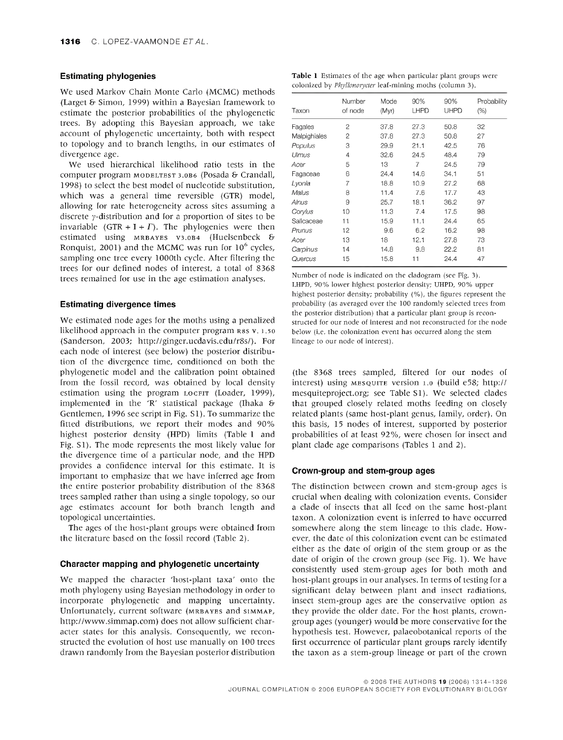#### Estimating phylogenies

We used Markov Chain Monte Carlo (MCMC) methods (Larget & Simon, 1999) within a Bayesian framework to estimate the posterior probabilities of the phylogenetic trees. By adopting this Bayesian approach, we take account of phylogenetic uncertainty, both with respect to topology and to branch lengths, in our estimates of divergence age.

We used hierarchical likelihood ratio tests in the computer program MODELTEST 3.0B6 (Posada & Crandall, 1998) to select the best model of nucleotide substitution, which was a general time reversible (GTR) model, allowing for rate heterogeneity across sites assuming a discrete  $\gamma$ -distribution and for a proportion of sites to be invariable (GTR + I +  $\Gamma$ ). The phylogenies were then estimated using MRBAYES V3.OB4 (Huelsenbeck & Ronquist, 2001) and the MCMC was run for  $10^6$  cycles, sampling one tree every 1000th cycle. After filtering the trees for our defined nodes of interest, a total of 8368 trees remained for use in the age estimation analyses.

#### Estimating divergence times

We estimated node ages for the moths using a penalized likelihood approach in the computer program R8S v. 1.50 (Sanderson, 2003; http://ginger.ucdavis.edu/r8s/). For each node of interest (see below) the posterior distribution of the divergence time, conditioned on both the phylogenetic model and the calibration point obtained from the fossil record, was obtained by local density estimation using the program LOCFIT (Loader, 1999), implemented in the 'R' statistical package (Ihaka & Gentlemen, 1996 see script in Fig. SI). To summarize the fitted distributions, we report their modes and 90% highest posterior density (HPD) limits (Table <sup>1</sup> and Fig. S1). The mode represents the most likely value for the divergence time of a particular node, and the HPD provides a confidence interval for this estimate. It is important to emphasize that we have inferred age from the entire posterior probability distribution of the 8368 trees sampled rather than using a single topology, so our age estimates account for both branch length and topological uncertainties.

The ages of the host-plant groups were obtained from the literature based on the fossil record (Table 2).

#### Character mapping and phylogenetic uncertainty

We mapped the character 'host-plant taxa' onto the moth phylogeny using Bayesian methodology in order to incorporate phylogenetic and mapping uncertainty. Unfortunately, current software (MRBAYES and SIMMAP, http://www.simmap.com) does not allow sufficient character states for this analysis. Consequently, we reconstructed the evolution of host use manually on 100 trees drawn randomly from the Bayesian posterior distribution

|  |  | Table 1 Estimates of the age when particular plant groups were   |  |
|--|--|------------------------------------------------------------------|--|
|  |  | colonized by <i>Phyllonorycter</i> leaf-mining moths (column 3). |  |

| Taxon        | Number<br>of node | Mode<br>(Myr) | 90%<br>LHPD | 90%<br>UHPD | Probability<br>(%) |
|--------------|-------------------|---------------|-------------|-------------|--------------------|
| Fagales      | 2                 | 37.8          | 27.3        | 50.8        | 32                 |
| Malpighiales | 2                 | 37.8          | 27.3        | 50.8        | 27                 |
| Populus      | 3                 | 29.9          | 21.1        | 42.5        | 76                 |
| Ulmus        | 4                 | 32.6          | 24.5        | 48.4        | 79                 |
| Acer         | 5                 | 13            | 7           | 24.5        | 79                 |
| Fagaceae     | 6                 | 24.4          | 14.6        | 34.1        | 51                 |
| Lyonia       | 7                 | 18.8          | 10.9        | 27.2        | 68                 |
| Malus        | 8                 | 11.4          | 7.6         | 17.7        | 43                 |
| Alnus        | 9                 | 25.7          | 18.1        | 36.2        | 97                 |
| Corvius      | 10                | 11.3          | 7.4         | 17.5        | 98                 |
| Salicaceae   | 11                | 15.9          | 11.1        | 24.4        | 65                 |
| Prunus       | 12                | 9.6           | 6.2         | 16.2        | 98                 |
| Acer         | 13                | 18            | 12.1        | 27.8        | 73                 |
| Carpinus     | 14                | 14.8          | 9.8         | 22.2        | 81                 |
| Quercus      | 15                | 15.8          | 11          | 24.4        | 47                 |
|              |                   |               |             |             |                    |

Number of node is indicated on the cladogram (see Fig. 3). LHPD, 90% lower highest posterior density; UHPD, 90% upper highest posterior density; probability (%), the figures represent the probability (as averaged over the 100 randomly selected trees from the posterior distribution) that a particular plant group is reconstructed for our node of interest and not reconstructed for the node below (i.e. the colonization event has occurred along the stem lineage to our node of interest).

(the 8368 trees sampled, filtered for our nodes of interest) using MESQUITE version 1.0 (build e58; http:// mesquiteproject.org; see Table SI). We selected clades that grouped closely related moths feeding on closely related plants (same host-plant genus, family, order). On this basis, 15 nodes of interest, supported by posterior probabilities of at least 92%, were chosen for insect and plant clade age comparisons (Tables <sup>1</sup> and 2).

#### Crown-group and stem-group ages

The distinction between crown and stem-group ages is crucial when dealing with colonization events. Consider a clade of insects that all feed on the same host-plant taxon. A colonization event is inferred to have occurred somewhere along the stem lineage to this clade. However, the date of this colonization event can be estimated either as the date of origin of the stem group or as the date of origin of the crown group (see Fig. 1). We have consistently used stem-group ages for both moth and host-plant groups in our analyses. In terms of testing for a significant delay between plant and insect radiations, insect stem-group ages are the conservative option as they provide the older date. For the host plants, crowngroup ages (younger) would be more conservative for the hypothesis test. However, palaeobotanical reports of the first occurrence of particular plant groups rarely identify the taxon as a stem-group lineage or part of the crown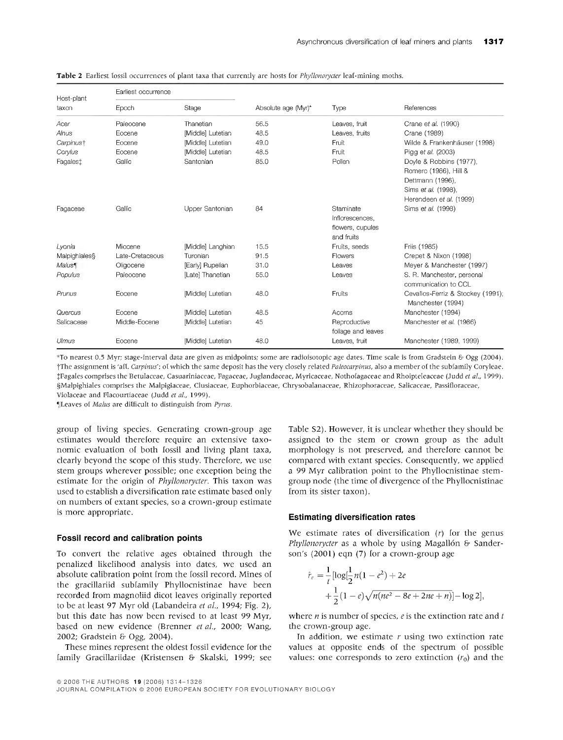| Host-plant            | Earliest occurrence |                   |                     |                                                                |                                                                                                                        |
|-----------------------|---------------------|-------------------|---------------------|----------------------------------------------------------------|------------------------------------------------------------------------------------------------------------------------|
| taxon                 | Epoch               | Stage             | Absolute age (Myr)* | Type                                                           | References                                                                                                             |
| Acer                  | Paleocene           | Thanetian         | 56.5                | Leaves, fruit                                                  | Crane et al. (1990)                                                                                                    |
| Alnus                 | Eocene              | [Middle] Lutetian | 48.5                | Leaves, fruits                                                 | Crane (1989)                                                                                                           |
| Carpinus <sup>†</sup> | Eocene              | [Middle] Lutetian | 49.0                | Fruit                                                          | Wilde & Frankenhäuser (1998)                                                                                           |
| Corylus               | Eocene              | [Middle] Lutetian | 48.5                | Fruit                                                          | Pigg et al. (2003)                                                                                                     |
| Fagales <sup>+</sup>  | Gallic              | Santonian         | 85.0                | Pollen                                                         | Doyle & Robbins (1977),<br>Romero (1986), Hill &<br>Dettmann (1996),<br>Sims et al. (1998),<br>Herendeen et al. (1999) |
| Fagaceae              | Gallic              | Upper Santonian   | 84                  | Staminate<br>inflorescences.<br>flowers, cupules<br>and fruits | Sims et al. (1998)                                                                                                     |
| Lyonia                | Miocene             | [Middle] Langhian | 15.5                | Fruits, seeds                                                  | Friis (1985)                                                                                                           |
| Malpighiales\$        | Late-Cretaceous     | Turonian          | 91.5                | Flowers                                                        | Crepet & Nixon (1998)                                                                                                  |
| Malus                 | Oligocene           | [Early] Rupelian  | 31.0                | Leaves                                                         | Meyer & Manchester (1997)                                                                                              |
| Populus               | Paleocene           | [Late] Thanetian  | 55.0                | Leaves                                                         | S. R. Manchester, personal<br>communication to CCL                                                                     |
| Prunus                | Eocene              | [Middle] Lutetian | 48.0                | Fruits                                                         | Cevallos-Ferriz & Stockey (1991);<br>Manchester (1994)                                                                 |
| Quercus               | Eocene              | [Middle] Lutetian | 48.5                | Acoms                                                          | Manchester (1994)                                                                                                      |
| Salicaceae            | Middle-Eocene       | [Middle] Lutetian | 45                  | Reproductive<br>foliage and leaves                             | Manchester et al. (1986)                                                                                               |
| Ulmus                 | Eocene              | Middlel Lutetian  | 48.0                | Leaves, fruit                                                  | Manchester (1989, 1999)                                                                                                |

**Table 2** Earliest fossil occurrences of plant taxa that currently are hosts for *Phyllonoryder* leaf-mining moths.

\*To nearest 0.5 Myr; stage-interval data are given as midpoints; some are radioisotopic age dates. Time scale is from Gradstein & Ogg (2004). tThe assignment is 'atf. *Carpinus';* of which the same deposit has the very closely related *Paleocarpinus,* also a member ot the subfamily Coryleae. jFagales comprises the Betulaceae, Casuariniaceae, Fagaceae, Juglandaceae, Myricaceae, Nothofagaceae and Rhoipteleaceae (Judd *et al,* 1999). §MalpighiaIes comprises the Malpigiaceae, Clusiaceae, Euphorbiaceae, Chrysobalanaceae, Rhizophoraceae, Salicaceae, Passifloraceae, Violaceae and Flacourtiaceae (Judd *et al.* 1999).

\*|Leaves of *Malus* are difficult to distinguish from *Pyrus.*

group of living species. Generating crown-group age estimates would therefore require an extensive taxonomic evaluation of both fossil and living plant taxa, clearly beyond the scope of this study. Therefore, we use stem groups wherever possible; one exception being the estimate for the origin of *Phyllonorycter.* This taxon was used to establish a diversification rate estimate based only on numbers of extant species, so a crown-group estimate is more appropriate.

#### Fossil record and calibration points

To convert the relative ages obtained through the penalized likelihood analysis into dates, we used an absolute calibration point from the fossil record. Mines of the gracillariid subfamily Phyllocnistinae have been recorded from magnoliid dicot leaves originally reported to be at least 97 Myr old (Labandeira *et al,* 1994; Fig. 2), but this date has now been revised to at least 99 Myr, based on new evidence (Brenner *et al,* 2000; Wang, 2002; Gradstein & Ogg, 2004).

These mines represent the oldest fossil evidence for the family Gracillariidae (Kristensen & Skalski, 1999; see

Table S2). However, it is unclear whether they should be assigned to the stem or crown group as the adult morphology is not preserved, and therefore cannot be compared with extant species. Consequently, we applied a 99 Myr calibration point to the Phyllocnistinae stemgroup node (the time of divergence of the Phyllocnistinae from its sister taxon).

#### Estimating diversification rates

We estimate rates of diversification  $(r)$  for the genus *Phyllonorycter* as a whole by using Magallón & Sanderson's (2001) eqn (7) for a crown-group age

$$
\hat{r}_e = \frac{1}{t} [\log \frac{1}{2} n(1 - e^2) + 2e \n+ \frac{1}{2} (1 - e) \sqrt{n(ne^2 - 8e + 2ne + n)}] - \log 2],
$$

where *n* is number of species, *<sup>e</sup>* is the extinction rate and *t* the crown-group age.

In addition, we estimate  $r$  using two extinction rate values at opposite ends of the spectrum of possible values: one corresponds to zero extinction  $(r_0)$  and the

<sup>©2006</sup> THE AUTHORS 19 (2006) 1314-1326

JOURNAL COMPILATION © 2006 EUROPEAN SOCIETY FOR EVOLUTIONARY BIOLOGY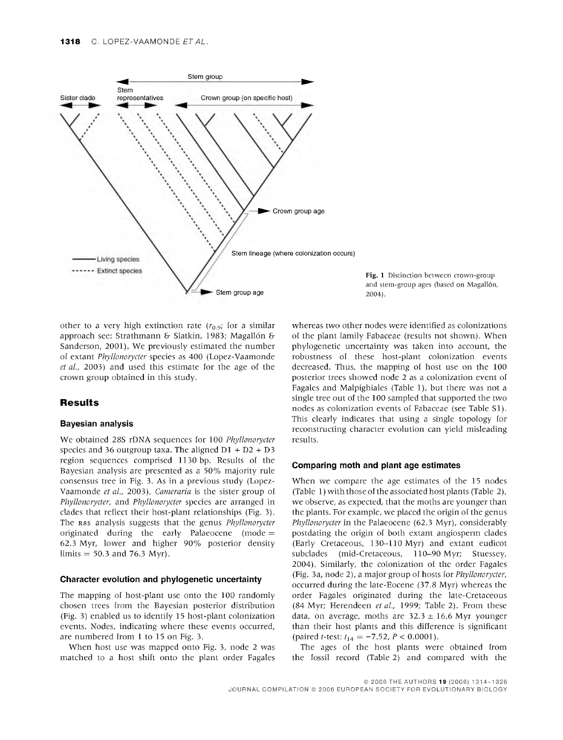

Fig. <sup>1</sup> Distinction between crown-group and stem-group ages (based on Magallón, 2004).

other to a very high extinction rate  $(r<sub>0.9</sub>)$ ; for a similar approach see: Strathmann & Slatkin, 1983; Magallón & Sanderson, 2001). We previously estimated the number of extant *Phyllonorycter* species as 400 (Lopez-Vaamonde *et al,* 2003) and used this estimate for the age of the crown group obtained in this study.

#### **Results**

#### Bayesian analysis

We obtained 28S rDNA sequences for 100 *Phyllonorycter* species and 36 outgroup taxa. The aligned  $DI + D2 + D3$ region sequences comprised 1130 bp. Results of the Bayesian analysis are presented as a 50% majority rule consensus tree in Fig. 3. As in a previous study (Lopez-Vaamonde *et al,* 2003), *Cameraria* is the sister group of *Phyllonorycter,* and *Phyllonorycter* species are arranged in clades that reflect their host-plant relationships (Fig. 3). The R8s analysis suggests that the genus *Phyllonorycter* originated during the early Palaeocene (mode  $=$ 62.3 Myr, lower and higher 90% posterior density limits  $= 50.3$  and 76.3 Myr).

#### Character evolution and phylogenetic uncertainty

The mapping of host-plant use onto the 100 randomly chosen trees from the Bayesian posterior distribution (Fig. 3) enabled us to identify 15 host-plant colonization events. Nodes, indicating where these events occurred, are numbered from <sup>1</sup> to 15 on Fig. 3.

When host use was mapped onto Fig. 3, node 2 was matched to a host shift onto the plant order Fagales

whereas two other nodes were identified as colonizations of the plant famfly Fabaceae (results not shown). When phylogenetic uncertainty was taken into account, the robustness of these host-plant colonization events decreased. Thus, the mapping of host use on the 100 posterior trees showed node 2 as a colonization event of Fagales and Malpighiales (Table 1), but there was not a single tree out of the 100 sampled that supported the two nodes as colonization events of Fabaceae (see Table SI). This clearly indicates that using a single topology for reconstructing character evolution can yield misleading results.

#### Comparing moth and plant age estimates

When we compare the age estimates of the 15 nodes (Table 1) with those of the associated host plants (Table 2), we observe, as expected, that the moths are younger than the plants. For example, we placed the origin of the genus *Phyllonorycter in* the Palaeocene (62.3 Myr), considerably postdating the origin of both extant angiosperm clades (Early Cretaceous, 130-110 Myr) and extant eudicot subclades (mid-Cretaceous, 110-90 Myr; Stuessey, 2004). Similarly, the colonization of the order Fagales (Fig. 3a, node 2), a major group of hosts for *Phyllonorycter,* occurred during the late-Eocene (37.8 Myr) whereas the order Fágales originated during the late-Cretaceous (84 Myr; Herendeen *et al.,* 1999; Table 2). From these data, on average, moths are  $32.3 \pm 16.6$  Myr younger than their host plants and this difference is significant  $(\text{paired } t\text{-test: } t_{14} = -7.52, P < 0.0001).$ 

The ages of the host plants were obtained from the fossil record (Table 2) and compared with the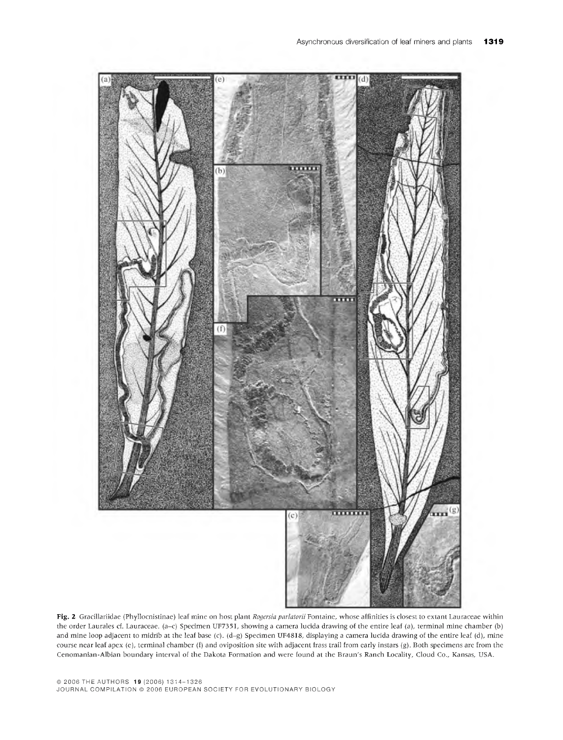

**Fig.** 2 Gracillariidae (Phyllocnistinae) leaf mine on host plant *Rogersia parlatorii* Fontaine, whose affinities is closest to extant Lauraceae within the order Laurales cf. Lauraceae. (a-c) Specimen UF7351, showing a camera lucida drawing of the entire leaf (a), terminal mine chamber (b) and mine loop adjacent to midrib at the leaf base (c). (d-g) Specimen UF4818, displaying a camera lucida drawing of the entire leaf (d), mine course near leaf apex (e), terminal chamber (f) and oviposition site with adjacent frass trail from early instars (g). Both specimens are from the Cenomanian-Albian boundary interval of the Dakota Formation and were found at the Braun's Ranch Locality, Cloud Co., Kansas, USA.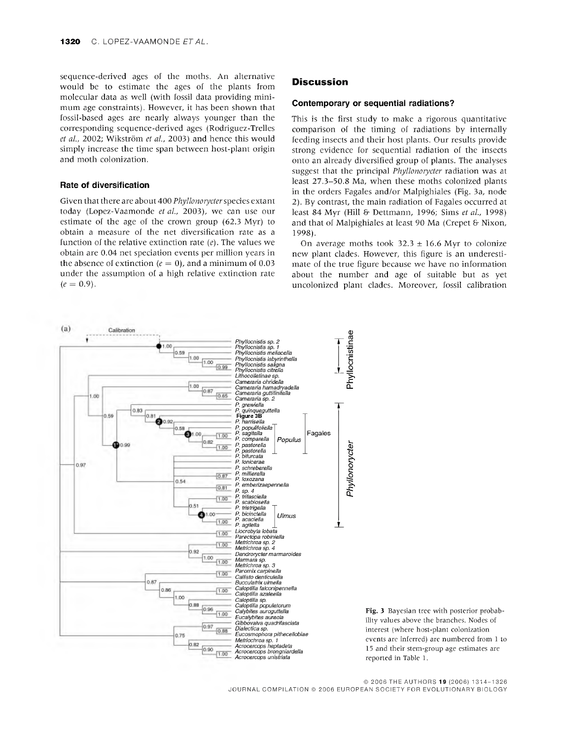sequence-derived ages of the moths. An alternative would be to estimate the ages of the plants from molecular data as well (with fossil data providing minimum age constraints). However, it has been shown that fossil-based ages are nearly always younger than the corresponding sequence-derived ages (Rodriguez-Trelles *et al,* 2002; Wikström *et al,* 2003) and hence this would simply increase the time span between host-plant origin and moth colonization.

#### Rate of diversification

Given that there are about 400 *Phyllonorycter*species extant today (Lopez-Vaamonde *et al,* 2003), we can use our estimate of the age of the crown group (62.3 Myr) to obtain a measure of the net diversification rate as a function of the relative extinction rate *(e).* The values we obtain are 0.04 net speciation events per million years in the absence of extinction  $(e = 0)$ , and a minimum of 0.03 under the assumption of a high relative extinction rate  $(e = 0.9)$ .

#### **Discussion**

#### Contemporary or sequential radiations?

This is the first study to make a rigorous quantitative comparison of the timing of radiations by internally feeding insects and their host plants. Our results provide strong evidence for sequential radiation of the insects onto an already diversified group of plants. The analyses suggest that the principal *Phyllonorycter* radiation was at least 27.3-50.8 Ma, when these moths colonized plants in the orders Fagales and/or Malpighiales (Fig. 3a, node 2). By contrast, the main radiation of Fagales occurred at least 84 Myr (Hill & Dettmann, 1996; Sims *et al,* 1998) and that of Malpighiales at least 90 Ma (Crepet & Nixon, 1998).

On average moths took  $32.3 \pm 16.6$  Myr to colonize new plant clades. However, this figure is an underestimate of the true figure because we have no information about the number and age of suitable but as yet uncolonized plant clades. Moreover, fossil calibration



Fig. 3 Bayesian tree with posterior probability values above the branches. Nodes of interest (where host-plant colonization events are inferred) are numbered from <sup>1</sup> to 15 and their stem-group age estimates are reported in Table 1.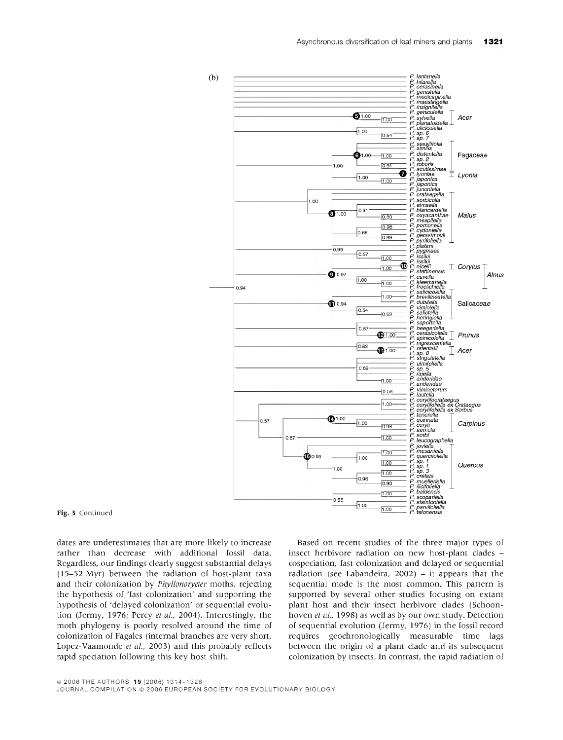

#### Fig. 3 Continued

dates are underestimates that are more likely to increase rather than decrease with additional fossil data. Regardless, our findings clearly suggest substantial delays (15-52 Myr) between the radiation of host-plant taxa and their colonization by *Phyllonorycter* moths, rejecting the hypothesis of 'fast colonization' and supporting the hypothesis of 'delayed colonization' or sequential evolution (Jermy, 1976; Percy *et al,* 2004). Interestingly, the moth phylogeny is poorly resolved around the time of colonization of Fágales (internal branches are very short, Lopez-Vaamonde *et al,* 2003) and this probably reflects rapid speciation following this key host shift.

Based on recent studies of the three major types of insect herbivore radiation on new host-plant clades cospeciation, fast colonization and delayed or sequential radiation (see Labandeira,  $2002$ ) – it appears that the sequential mode is the most common. This pattern is supported by several other studies focusing on extant plant host and their insect herbivore clades (Schoonhoven *et al,* 1998) as well as by our own study. Detection of sequential evolution (Jermy, 1976) in the fossil record requires geochronologically measurable time lags between the origin of a plant clade and its subsequent colonization by insects. In contrast, the rapid radiation of

JOURNAL COMPILATION © 2006 EUROPEAN SOCIETY FOR EVOLUTIONARY BIOLOGY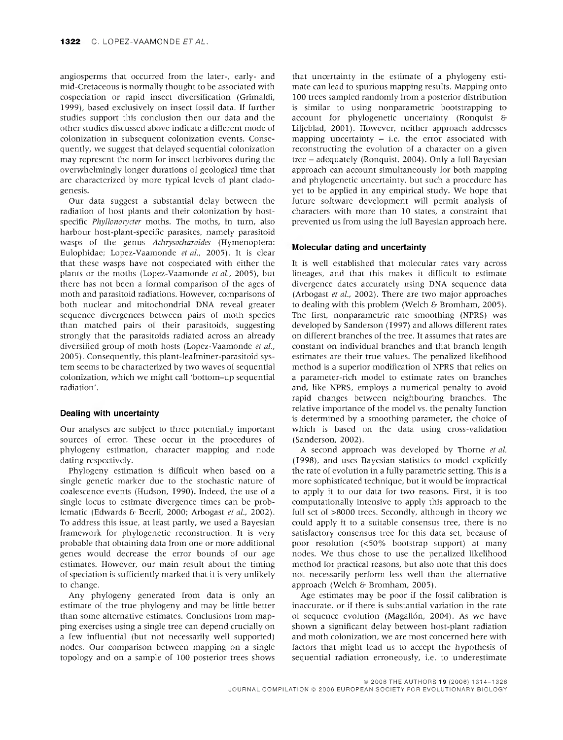angiosperms that occurred from the later-, early- and mid-Cretaceous is normally thought to be associated with cospeciation or rapid insect diversification (Grimaldi, 1999), based exclusively on insect fossil data. If further studies support this conclusion then our data and the other studies discussed above indicate a different mode of colonization in subsequent colonization events. Consequently, we suggest that delayed sequential colonization may represent the norm for insect herbivores during the overwhelmingly longer durations of geological time that are characterized by more typical levels of plant ciadogenesis.

Our data suggest a substantial delay between the radiation of host plants and their colonization by hostspecific *Phyllonorycter* moths. The moths, in turn, also harbour host-plant-specific parasites, namely parasitoid wasps of the genus *Achrysocharoides* (Hymenoptera: Eulophidae; Lopez-Vaamonde *et al,* 2005). It is clear that these wasps have not cospeciated with either the plants or the moths (Lopez-Vaamonde *et al,* 2005), but there has not been a formal comparison of the ages of moth and parasitoid radiations. However, comparisons of both nuclear and mitochondrial DNA reveal greater sequence divergences between pairs of moth species than matched pairs of their parasitoids, suggesting strongly that the parasitoids radiated across an already diversified group of moth hosts (Lopez-Vaamonde *et al,* 2005). Consequently, this plant-leafminer-parasitoid system seems to be characterized by two waves of sequential colonization, which we might call 'bottom-up sequential radiation'.

#### **Dealing with uncertainty**

Our analyses are subject to three potentially important sources of error. These occur in the procedures of phylogeny estimation, character mapping and node dating respectively.

Phylogeny estimation is difficult when based on a single genetic marker due to the stochastic nature of coalescence events (Hudson, 1990). Indeed, the use of a single locus to estimate divergence times can be problematic (Edwards & Beerli, 2000; Arbogast *et al,* 2002). To address this issue, at least partly, we used a Bayesian framework for phylogenetic reconstruction. It is very probable that obtaining data from one or more additional genes would decrease the error bounds of our age estimates. However, our main result about the timing of speciation is sufficiently marked that it is very unlikely to change.

Any phylogeny generated from data is only an estimate of the true phylogeny and may be little better than some alternative estimates. Conclusions from mapping exercises using a single tree can depend crucially on a few influential (but not necessarily well supported) nodes. Our comparison between mapping on a single topology and on a sample of 100 posterior trees shows

that uncertainty in the estimate of a phylogeny estimate can lead to spurious mapping results. Mapping onto 100 trees sampled randomly from a posterior distribution is similar to using nonparametric bootstrapping to account for phylogenetic uncertainty (Ronquist & Liljeblad, 2001). However, neither approach addresses mapping uncertainty  $-$  i.e. the error associated with reconstructing the evolution of a character on a given tree - adequately (Ronquist, 2004). Only <sup>a</sup> fufi Bayesian approach can account simultaneously for both mapping and phylogenetic uncertainty, but such a procedure has yet to be applied in any empirical study. We hope that future software development will permit analysis of characters with more than 10 states, a constraint that prevented us from using the full Bayesian approach here.

#### **Molecular dating and uncertainty**

It is well established that molecular rates vary across lineages, and that this makes it difficult to estimate divergence dates accurately using DNA sequence data (Arbogast *et al,* 2002). There are two major approaches to deafing with this problem (Welch & Bromham, 2005). The first, nonparametric rate smoothing (NPRS) was developed by Sanderson (1997) and allows different rates on different branches of the tree. It assumes that rates are constant on individual branches and that branch length estimates are their true values. The penalized likefihood method is a superior modification of NPRS that relies on a parameter-rich model to estimate rates on branches and, like NPRS, employs a numerical penalty to avoid rapid changes between neighbouring branches. The relative importance of the model vs. the penalty function is determined by a smoothing parameter, the choice of which is based on the data using cross-validation (Sanderson, 2002).

A second approach was developed by Thorne *et al* (1998), and uses Bayesian statistics to model explicitly the rate of evolution in a fully parametric setting. This is a more sophisticated technique, but it would be impractical to apply it to our data for two reasons. First, it is too computationally intensive to apply this approach to the full set of >8000 trees. Secondly, although in theory we could apply it to a suitable consensus tree, there is no satisfactory consensus tree for this data set, because of poor resolution (<50% bootstrap support) at many nodes. We thus chose to use the penafized likefihood method for practical reasons, but also note that this does not necessarily perform less well than the alternative approach (Welch & Bromham, 2005).

Age estimates may be poor if the fossil calibration is inaccurate, or if there is substantial variation in the rate of sequence evolution (Magallón, 2004). As we have shown a significant delay between host-plant radiation and moth colonization, we are most concerned here with factors that might lead us to accept the hypothesis of sequential radiation erroneously, i.e. to underestimate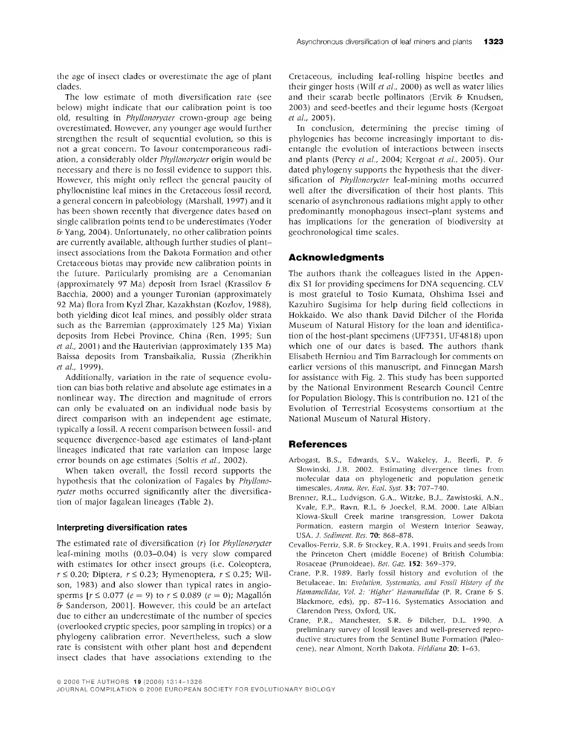the age of insect clades or overestimate the age of plant clades.

The low estimate of moth diversification rate (see below) might indicate that our calibration point is too old, resulting in *Phyllonorycter* crown-group age being overestimated. However, any younger age would further strengthen the result of sequential evolution, so this is not a great concern. To favour contemporaneous radiation, a considerably older *Phyllonorycter* origin would be necessary and there is no fossil evidence to support this. However, this might only reflect the general paucity of phyflocnistine leaf mines in the Cretaceous fossil record, a general concern in paleobiology (Marshall, 1997) and it has been shown recently that divergence dates based on single calibration points tend to be underestimates (Yoder & Yang, 2004). Unfortunately, no other calibration points are currently available, although further studies of plantinsect associations from the Dakota Formation and other Cretaceous biotas may provide new calibration points in the future. Particularly promising are a Cenomanian (approximately 97 Ma) deposit from Israel (Krassilov & Bacchia, 2000) and a younger Turonian (approximately 92 Ma) flora from Kyzl Zhar, Kazakhstan (Kozlov, 1988), both yielding dicot leaf mines, and possibly older strata such as the Barremian (approximately 125 Ma) Yixian deposits from Hebei Province, China (Ren, 1995; Sun *et al,* 2001) and the Hauterivian (approximately 135 Ma) Baissa deposits from Transbaikalia, Russia (Zherikhin *etal,* 1999).

Additionally, variation in the rate of sequence evolution can bias both relative and absolute age estimates in a nonlinear way. The direction and magnitude of errors can only be evaluated on an individual node basis by direct comparison with an independent age estimate, typically a fossil. A recent comparison between fossil- and sequence divergence-based age estimates of land-plant lineages indicated that rate variation can impose large error bounds on age estimates (Soltis *et al,* 2002).

When taken overall, the fossil record supports the hypothesis that the colonization of Fagales by *Phyllonorycter* moths occurred significantly after the diversification of major fagalean lineages (Table 2).

#### Interpreting diversification rates

The estimated rate of diversification (r) for *Phyllonorycter* leaf-mining moths (0.03-0.04) is very slow compared with estimates for other insect groups (i.e. Coleoptera,  $r \le 0.20$ ; Diptera,  $r \le 0.23$ ; Hymenoptera,  $r \le 0.25$ ; Wilson, 1983) and also slower than typical rates in angiosperms  $[r \le 0.077 \ (e = 9) \text{ to } r \le 0.089 \ (e = 0)$ ; Magallón & Sanderson, 2001]. However, this could be an artefact due to either an underestimate of the number of species (overlooked cryptic species, poor sampling in tropics) or a phylogeny calibration error. Nevertheless, such a slow rate is consistent with other plant host and dependent insect clades that have associations extending to the

Cretaceous, including leaf-rofling hispine beetles and their ginger hosts (Wilf *et al.*, 2000) as well as water lilies and their scarab beetle polfinators (Ervik & Knudsen, 2003) and seed-beetles and their legume hosts (Kergoat *etal,* 2005).

In conclusion, determining the precise timing of phylogenies has become increasingly important to disentangle the evolution of interactions between insects and plants (Percy *et al,* 2004; Kergoat *et al,* 2005). Our dated phylogeny supports the hypothesis that the diversification of *Phyllonorycter* leaf-mining moths occurred well after the diversification of their host plants. This scenario of asynchronous radiations might apply to other predominantly monophagous insect-plant systems and has implications for the generation of biodiversity at geochronological time scales.

#### **Acknowledgments**

The authors thank the colleagues listed in the Appendix SI for providing specimens for DNA sequencing. CLV is most grateful to Tosio Kumata, Ohshima Issei and Kazuhiro Sugisima for help during field collections in Hokkaido. We also thank David Dilcher of the Florida Museum of Natural History for the loan and identification of the host-plant specimens (UF735I, UF4818) upon which one of our dates is based. The authors thank Elisabeth Herniou and Tim Barraclough for comments on earlier versions of this manuscript, and Finnegan Marsh for assistance with Fig. 2. This study has been supported by the National Environment Research Council Centre for Population Biology. This is contribution no. 121 of the Evolution of Terrestrial Ecosystems consortium at the National Museum of Natural History.

#### **References**

- Arbogast, B.S., Edwards, S.V., Wakeley, J., Beerli, P. & Slowinski, J.B. 2002. Estimating divergence times from molecular data on phylogenetic and population genetic timescales. *Annu. Rev. Ecol. Syst.* 33: 707-740.
- Brenner, R.L., Ludvigson, G.A., Witzke, B.J., Zawistoski, A.N., Kvale, E.P., Ravn, R.L. & Joeckel, R.M. 2000. Late Albian Kiowa-Skull Creek marine transgression. Lower Dakota Formation, eastern margin of Western Interior Seaway, USA. J. *Sediment. Res.* 70: 868-878.
- Cevallos-Ferriz, S.R. & Stockey, R.A. 1991. Fruits and seeds from the Princeton Chert (middle Eocene) of British Columbia: Rosaceae (Prunoideae). *Bot. Gaz.* **152:** 369-379.
- Crane, P.R. 1989. Early fossil history and evolution of the Betulaceae. In: *Evolution, Systematics, and Fossil History of the Hamamelidae, Vol. 2: 'Hißher' Hamamelidae* (P. R. Crane & S. Blackmore, eds), pp. 87-116. Systematics Association and Clarendon Press, Oxford, UK.
- Crane, P.R., Manchester, S.R. & Dilcher, D.L. 1990. A preliminary survey of lossil leaves and well-preserved reproductive structures from the Sentinel Butte Formation (Paleocene), near Almont, North Dakota. *Fieldiana* 20: 1-63.

<sup>©2006</sup> THE AUTHORS 19 (2006) 1314-1326

JOURNAL COMPILATION © 2006 EUROPEAN SOCIETY FOR EVOLUTIONARY BIOLOGY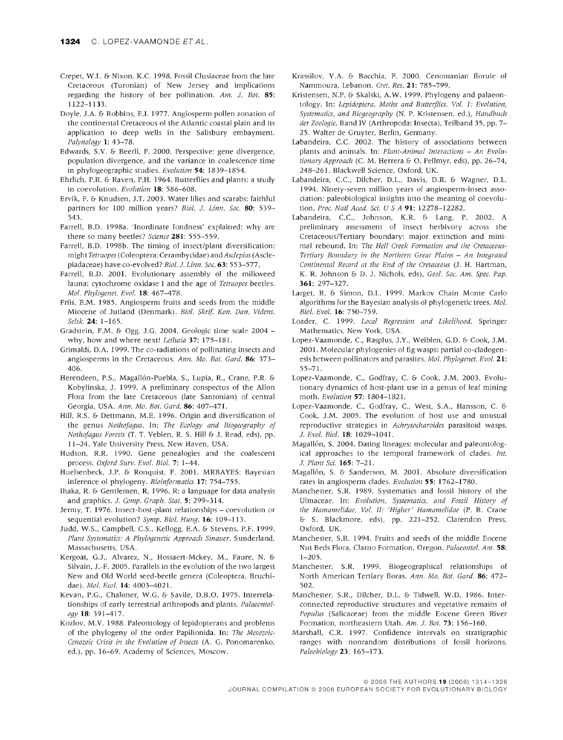- Crepet, W.L. & Nixon, K.C. 1998. Fossil Clusiaceae from the late Cretaceous (Turonian) oi New Jersey and implications regarding the history of bee pollination. *Am. J. Bot.* 85: 1122-1133.
- Doyle, J.A. & Robbins, E.I. 1977. Angiosperm pollen zonation of the continental Cretaceous of the Atlantic coastal plain and its application to deep wells in the Salisbury embayment. *Palynology* 1: 43-78.
- Edwards, S.V. & Beerh, P. 2000. Perspective: gene divergence, population divergence, and the variance in coalescence time in phylogeographic studies. *Evolution* 54: 1839-1854.
- Ehrlich, P.R. & Raven, P.H. 1964. Butterflies and plants: a study in coevolution. *Evolution* **18:** 586-608.
- Ervik, F. & Knudsen, J.T. 2003. Water lilies and scarabs: faithful partners for 100 million years? *Biol. J. Linn. Sac.* 80: 539- 543.
- Farrell, B.D. 1998a. 'Inordinate fondness' explained: why are there so many beetles? *Science* **281:** 555-559.
- Farrell, B.D. 1998b. The timing of insect/plant diversification: might Tefraopes (Coleóptera: Cerambycidae) *andAsclepias* (Asclepiadaceae) have co-evolved? *Biol. J. Linn. Soc.* **63:** 553-577.
- Farrell, B.D. 2001. Evolutionary assembly ol the milkweed fauna: cytochrome oxidase <sup>1</sup> and the age of *Tetraopes* beetles. *Mol. Phylogenet. Evol.* 18: 467-478.
- Friis, E.M. 1985. Angiosperm fruits and seeds from the middle Miocene of Jutland (Denmark). *Biol. Skrif. Kon. Dan. Videns. Selsk.* 24: 1-165.
- Gradstein, F.M. & Ogg, J.G. 2004. Geologic time scale 2004 why, how and where next! *Lethaia* 37: 175-181.
- Grimaldi, D.A. 1999. The co-radiations of pollinating insects and angiosperms in the Cretaceous. *Ann. Mo. Bat. Gard.* **86:** 373- 406.
- Herendeen, P.S., Magallón-Puebla, S., Lupia, R., Crane, P.R. & Kobylinska, J. 1999. A preliminary conspectus of the Allon Flora from the late Cretaceous (late Santonian) of central Georgia, USA. *Ann. Mo. Bot. Gard.* **86:** 407-471.
- Hifl, R.S. & Dettmann, M.E. 1996. Origin and diversification of the genus *Nothofagus.* In: *The Ecology and Biogeography of Nothofagus Forests* (T. T. Veblen, R. S. Hill & J. Read, eds), pp. 11-24. Yale University Press, New Haven, USA.
- Hudson, R.R. 1990. Gene genealogies and the coalescent process. *Oxford Surv. Evol. Biol.* 7: 1-44.
- Huelsenbeck, J.P. & Ronquist, F. 2001. MRBAYES: Bayesian inference of phytogeny. *Bioinformatics* 17: 754-755.
- Ihaka, R. & Gentlemen, R. 1996. R: a language for data analysis and graphics. *J. Comp. Graph. Stat.* 5: 299-314.
- Jermy, T. 1976. Insect-host-plant relationships coevolution or sequential evolution? *Symp. Biol. Hung.* **16:** 109-113.
- Judd, W.S., Campbell, C.S., Kellogg, E.A. & Stevens, P.P. 1999. *Plant Systematlcs: A Phylogenetic Approach Sinauer.* Sunderland, Massachusetts, USA.
- Kergoat, G.J., Alvarez, N., Hossaert-Mckey, M., Faure, N. & Silvain, J.-F. 2005. Parallels in the evolution of the two largest New and Old World seed-beetle genera (Coleoptera, Bruchidae). *Mol. Ecol.* 14: 4003-4021.
- Kevan, P.G., Chaloner, W.G. & Savile, D.B.O. 1975. Interrelationships of early terrestrial arthropods and plants. *Palaeontology* **18:** 391-417.
- Kozlov, M.V. 1988. Paleontology of lepidopterans and problems of the phytogeny of the order Papilionida. In: *The Mesozoic-Cenozoic Crisis in the Evolution of Insects* (A. G. Ponomarenko, ed.), pp. 16-69. Academy of Sciences, Moscow.
- Krassilov, V.A. & Bacchia, F. 2000. Cenomanian florule of Nammoura, Lebanon. *Cret. Res.* **21:** 785-799.
- Kristensen, N.P. & Skalski, A.W. 1999. Phylogeny and palaeontology. In: *Lepidoptera, Moths and Butterflies. Vol. 1: Evolution, Systematlcs, and Biogeography* (N. P. Kristensen, ed.), *Handbuch der Zoologie,* Band IV (Arthropoda: Insecta), Teilband 35, pp. 7- 25. Walter de Gruyter, Berlin, Germany.
- Labandeira, C.C. 2002. The history of associations between plants and animals. In: *Plant-Animal Interactions - An Evolutionary Approach* (C. M. Herrera &• O. Pellmyr, eds), pp. 26-74, 248-261. Blackwell Science, Oxford, UK.
- Labandeira, C.C, Dilcher, D.L., Davis, D.R. & Wagner, D.L. 1994. Ninety-seven million years of angiosperm-insect association: paleobiological insights into the meaning of coevolution. *Proc. Nati Acad. Scl. U S A 91:* 12278-12282.
- Labandeira, C.C, Johnson, K.R. & Lang, P. 2002. A preliminary assessment of insect herbivory across the Cretaceous/Tertiary boundary: major extinction and minimal rebound. In: *The Hell Creek Formation and the Cretaceous-Tertiary Boundary in the Northern Great Plains - An Integrated Continental Record at the End of the Cretaceous* (J. H. Hartman, K. R. Johnson & D. J. Nichols, eds), *Geol. Soc. Am. Spec. Pap.* **361:** 297-327.
- Larget, B. & Simon, D.L. 1999. Markov Chain Monte Carlo algorithms for the Bayesian analysis of phylogenetic trees. *Mol. Biol. Evol.* **16:** 750-759.
- Loader, C. 1999. *Local Regression and Likelihood.* Springer Mathematics, New York, USA.
- Lopez-Vaamonde, C, Rasplus, J.Y., Weiblen, G.D. & Cook, J.M. 2001. Molecular phytogenies of fig wasps: partial co-cladogenesis between pollinators and parasites. *Mol. Phylogenet. Evol.* **21:** 55-71.
- Lopez-Vaamonde, C, Godfray, C. & Cook, J.M. 2003. Evolutionary dynamics of host-plant use in a genus of leaf mining moth. *Evolution* 57: 1804-1821.
- Lopez-Vaamonde, C, Godfray, C, West, S.A., Hansson, C. & Cook, J.M. 2005. The evolution of host use and unusual reproductive strategies in *Achrysocharoides* parasitoid wasps. *J. Evol. Biol.* **18:** 1029-1041.
- Magallón, S. 2004. Dating lineages: molecular and paleontological approaches to the temporal framework of clades. *Int. J. Plant Sei.* **165:** 7-21.
- Magallón, S. & Sanderson, M. 2001. Absolute diversification rates in angiosperm clades. *Evolution* 55: 1762-1780.
- Manchester, S.R. 1989. Systematics and fossil history of the Ulmaceae. In: *Evolution, Systematlcs, and Fossil History of the Hamamelldae, Vol. II: 'Higher' Hamamelldae* (P. R. Crane & S. Blackmore, eds), pp. 221-252. Clarendon Press, Oxford, UK.
- Manchester, S.R. 1994. Fruits and seeds of the middle Eocene Nut Beds Flora, Clamo Formation, Oregon. *Palaeontol. Am.* 58: 1-205.
- Manchester, S.R. 1999. Biogeographical relationships of North American Tertiary floras. *Ann. Mo. Bot. Gard.* **86:** 472- 502.
- Manchester, S.R., Dilcher, D.L. & Tidwell, W.D. 1986. Interconnected reproductive structures and vegetative remains of *Populus* (Salicaceae) from the middle Eocene Green River Formation, northeastern Utah. *Am. J. Bot.* 73: 156-160.
- Marshall, C.R. 1997. Confidence intervals on stratigraphie ranges with nonrandom distributions of fossil horizons. *Paleohiology 2i:* 165-173.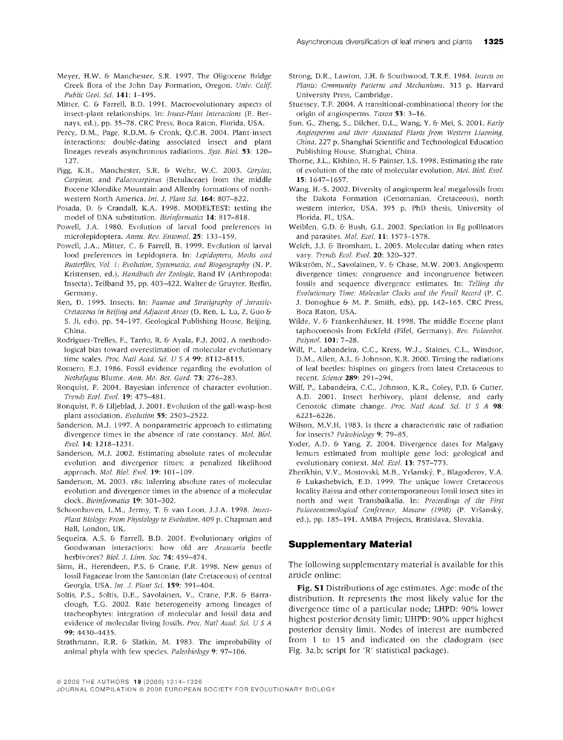- Meyer, H.W. & Manchester, S.R. 1997. The Oligocene Bridge Creek flora of the John Day Formation, Oregon. *Univ. Calif. Public Geol. Sei.* 141: 1-195.
- Mitter, C. & Farrell, B.D. 1991. Macroevolutionary aspects of insect-plant relationships. In: *Insect-Plant Interactions* (E. Bernays, ed.), pp. 35-78. CRC Press, Boca Raton, Florida, USA.
- Percy, D.M., Page, R.D.M. & Cronk, Q.C.B. 2004. Plant-insect interactions: double-dating associated insect and plant lineages reveals asynchronous radiations. *Syst. Biol.* 53: 120- 127.
- Pigg, K.B., Manchester, S.R. & Wehr, W.C. 2003. *Corylus, Carpinus,* and *Palaeocarpinus* (Betulaceae) from the middle Eocene Klondike Mountain and AUenby formations of northwestern North America. *Int. J. Plant Sei.* **164:** 807-822.
- Posada, D. & Crandall, K.A. 1998. MODELTEST: testing the model of DNA substitution. *Bioinformatics* **14:** 817-818.
- Powell, J.A. 1980. Evolution of larval food preferences in microlepidoptera. *Annu. Rev. Entomol.* **25:** 133-159.
- Powefl, J.A., Mitter, C. & Farrell, B. 1999. Evolution of larval food preferences in Lepidoptera. In: *Lepidoptera, Moths and Butterflies, Vol. 1: Evolution, Systematics, and Bioßeography* (N. P. Kristensen, ed.), *Handbuch der Zoologie,* Band IV (Arthropoda: Insecta), Teilband 35, pp. 403-422. Walter de Gruyter, Berfln, Germany.
- Ren, D. 1995. Insects. In: *Faunae and Stratigraphy of Jurassic-Cretaceous in Beijing and Adjacent Areas* (D. Ren, L. Lu, Z. Guo & S. Ji, eds), pp. 54-197. Geological Pubflshing House, Beijing, China.
- Rodriguez-Trelles, F., Tarrio, R. & Ayala, F.J. 2002. A methodological bias toward overestimation of molecular evolutionary time scales. *Proc. Nati Acad. Sei.* [7 S A **99:** 8112-8115.
- Romero, E.J. 1986. Fossil evidence regarding the evolution of *Nothofagus* Blume. *Ann. Mo. Bot. Gard.* 73: 276-283.
- Ronquist, F. 2004. Bayesian inference of character evolution. *Trends Ecol. Evol.* 19: 475-481.
- Ronquist, F. & Liljeblad, J. 2001. Evolution of the gall-wasp-host plant association. *Evolution* **55:** 2503-2522.
- Sanderson, M.J. 1997. A nonparametric approach to estimating divergence times in the absence of rate constancy. *Mol. Biol. Evol.* **14:** I218-I23I.
- Sanderson, M.J. 2002. Estimating absolute rates of molecular evolution and divergence times: a penalized likelihood approach. *Mol. Biol. Evol.* **19:** 101-109.
- Sanderson, M. 2003. r8s: inferring absolute rates of molecular evolution and divergence times in the absence of a molecular clock. *Bioinformatics* **19:** 301-302.
- Schoonhoven, L.M., Jermy, T. & van Loon, J.J.A. 1998. *Insect-Plant Biology: From Physiology to Evolution.* 409 p. Chapman and Hall, London, UK.
- Sequeira, A.S. & Farrell, B.D. 2001. Evolutionary origins of Gondwanan interactions: how old are *Araucaria* beetle herbivores? *Biol. J. Linn. Soc.* 74: 459-474.
- Sims, H., Herendeen, P.S. & Crane, P.R. 1998. New genus of lossil Fagaceae Irom the Santonian (late Cretaceous) of central Georgia, USA. *Int. J. Plant Sei.* **159:** 391-404.
- Soltis, P.S., Soltis, D.E., Savolainen, V., Crane, P.R. & Barraclough, T.G. 2002. Rate heterogeneity among lineages of tracheophytes: integration of molecular and fossil data and evidence of molecular living fossils. *Proc. Nati Acad. Sei. USA* **99:** 4430-4435.
- Strathmann, R.R. & Slatkin, M. 1983. The improbability of animal phyla with few species. *Paleobiology* 9: 97-106.
- Strong, D.R., Lawton, J.H. & Southwood, T.R.E. 1984. *Insects on Plants: Community Patterns and Mechanisms.* 313 p. Harvard University Press, Cambridge.
- Stuessey, T.F. 2004. A transitional-combinational theory for the origin of angiosperms. *Taxon* 53: 3-16.
- Sun, G., Zheng, S., Dflcher, D.L., Wang, Y. & Mei, S. 2001. *Early Angiosperms and their Associated Plants from Western Liaoning, China.* 227 p. Shanghai Scientific and Technological Education Publishing House, Shanghai, China.
- Thorne, J.L., Kishino, H. & Painter, l.S. 1998. Estimating the rate of evolution of the rate of molecular evolution. *Mol. Biol. Evol.* **15:** 1647-1657.
- Wang, H.-S. 2002. Diversity of angiosperm leaf megafossils from the Dakota Formation (Cenomanian, Cretaceous), north western interior, USA. 395 p. PhD thesis. University of Florida, FL, USA.
- Weiblen, G.D. & Bush, G.L. 2002. Speciation in fig polfinators and parasites. *Mol. Ecol.* **11:** 1573-1578.
- Welch, J.J. &• Bromham, L. 2005. Molecular dating when rates vary. *Trends Ecol. Evol.* **20:** 320-327.
- Wikström, N., Savolainen, V. & Chase, M.W. 2003. Angiosperm divergence times: congruence and incongruence between fossils and sequence divergence estimates. In: *Telling the Evolutionary Time: Molecular Clocks and the Fossil Record* (P. C. J. Donoghue & M. P. Smith, eds), pp. 142-165. CRC Press, Boca Raton, USA.
- Wilde, V. & Frankenhäuser, H. 1998. The middle Eocene plant taphocoenosis from Eckfeld (Eifel, Germany). *Rev. Palaeobot. Palynol.* **101:** 7-28.
- Wilf, P., Labandeira, C.C, Kress, W.J., Staines, C.L., Windsor, D.M., Aflen, A.L. & Johnson, K.R. 2000. Timing the radiations of leaf beetles: hispines on gingers from latest Cretaceous to recent. *Science* **289:** 291-294.
- Wilf, P., Labandeira, C.C, Johnson, K.R., Coley, P.D. & Cutter, A.D. 2001. Insect herbivory, plant defense, and early Cenozoic climate change. *Proc. Nati Acad. Sei. U S A 9S:* 6221-6226.
- Wilson, M.V.H. 1983. Is there a characteristic rate of radiation for insects? *Paleobiology* 9: 79-85.
- Yoder, A.D. & Yang, Z. 2004. Divergence dates for Malgasy lemurs estimated from multiple gene loci: geological and evolutionary context. *Mol. Ecol.* 13: 757-773.
- Zherikhin, V.V., Mostovski, M.B., Vrsansky, P., Blagoderov, V.A. & Lukashebvich, F.D. 1999. The unique lower Cretaceous locality Baissa and other contemporaneous fossil insect sites in north and west Transbaikalia. In: *Proceedings of the First Palaeoentomological Conference, Moscow (1998)* (P. Vrsansky, ed.), pp. 185-191. AMBA Projects, Bratislava, Slovakia.

#### **Supplementary Material**

The following supplementary material is available for this article online:

**Fig.** SI Distributions of age estimates. Age: mode of the distribution. It represents the most likely value for the divergence time of a particular node; LHPD: 90% lower highest posterior density limit; UHPD: 90% upper highest posterior density limit. Nodes of interest are numbered from <sup>1</sup> to 15 and indicated on the cladogram (see Fig. 3a,b; script for 'R' statistical package).

<sup>©2006</sup> THE AUTHORS 19 (2006) 1314-1326

JOURNAL COMPILATION © 2006 EUROPEAN SOCIETY FOR EVOLUTIONARY BIOLOGY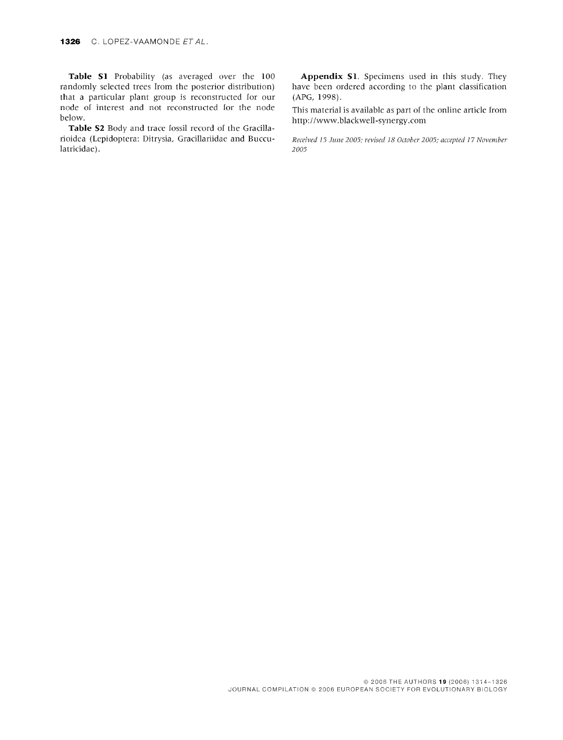**Table SI** Probability (as averaged over the 100 randomly selected trees from the posterior distribution) that a particular plant group is reconstructed for our node of interest and not reconstructed for the node below.

**Table S2** Body and trace fossil record of the Gracillarioidea (Lepidoptera: Ditrysia, Gracillariidae and Bucculatricidae).

**Appendix SI.** Specimens used in this study. They have been ordered according to the plant classification (APG, 1998).

This material is available as part of the online article from http://www.blackwell-synergy.com

*Received 15 June 2005; revised 18 October 2005; accepted 17 November 2005*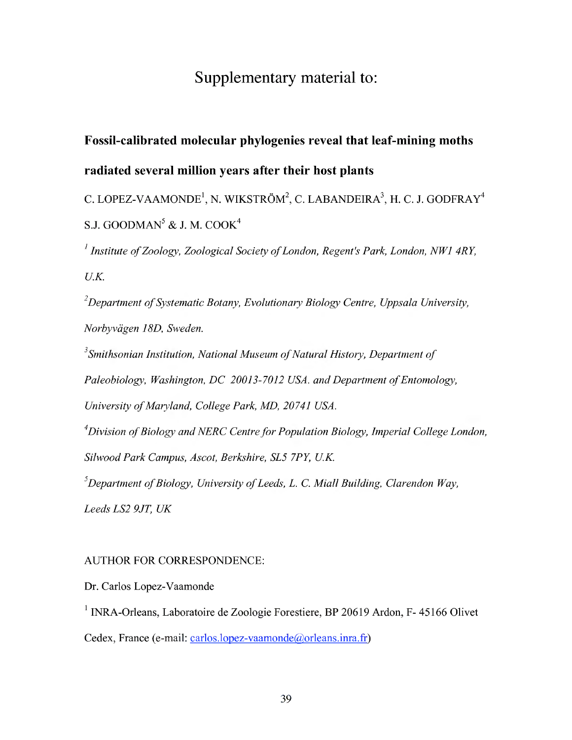# Supplementary material to:

# Fossil-calibrated molecular phylogenies reveal that leaf-mining moths radiated several million years after their host plants

C. LOPEZ-VAAMONDE<sup>1</sup>, N. WIKSTRÖM<sup>2</sup>, C. LABANDEIRA<sup>3</sup>, H. C. J. GODFRAY<sup>4</sup> S.J. GOODMAN<sup>5</sup> & J. M. COOK<sup>4</sup>

*Institute ofZoology, Zoological Society ofLondon, Regent's Park, London, NWl 4RY, U.K.*

*Department ofSystematic Botany, Evolutionary Biology Centre, Uppsala University, Norbyvägen 18D, Sweden.*

*Smithsonian Institution, National Museum ofNatural History, Department of Paleobiology, Washington, DC 20013-7012 USA. and Department of Entomology, University ofMaryland, College Park, MD, 20741 USA. Division ofBiology andNERC Centrefor Population Biology, Imperial College London,*

*Silwood Park Campus, Ascot, Berkshire, SL5 7PY, U.K.*

*Department ofBiology, University ofLeeds, L. C Miall Building, Clarendon Way,*

*LeedsLS2 9JT, UK*

## AUTHOR FOR CORRESPONDENCE:

Dr. Carlos Lopez-Vaamonde

 $<sup>1</sup>$  INRA-Orleans, Laboratoire de Zoologie Forestiere, BP 20619 Ardon, F- 45166 Olivet</sup> Cedex, France (e-mail: carlos.lopez-vaamonde@orleans.inra.fr)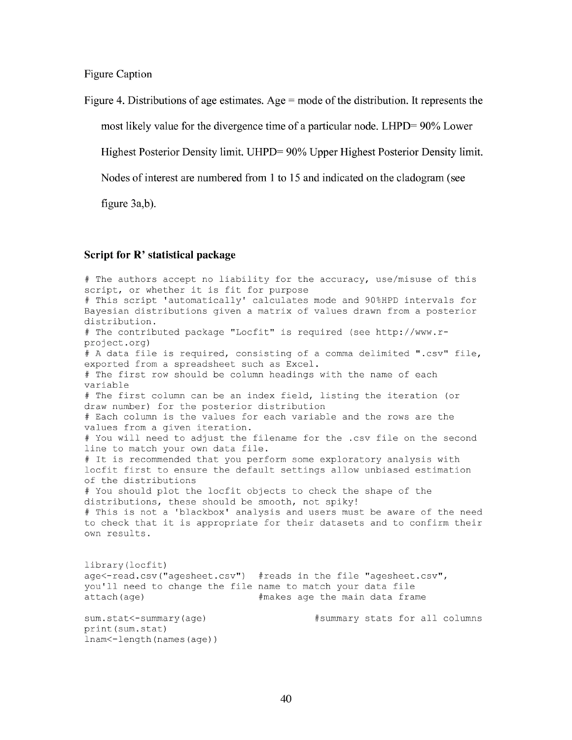Figure Caption

Figure 4. Distributions of age estimates. Age  $=$  mode of the distribution. It represents the

most likely value for the divergence time of a particular node. LHPD= 90% Lower

Highest Posterior Density limit. UHPD= 90% Upper Highest Posterior Density limit.

Nodes of interest are numbered from 1 to 15 and indicated on the cladogram (see

figure 3a,b).

### **Script for R' statistical pacliage**

# The authors accept no liability for the accuracy, use/misuse of this script, or whether it is fit for purpose # This script 'automatically' calculates mode and 90%HPD intervals for Bayesian distributions given a matrix of values drawn from a posterior distribution. # The contributed package "Locfit" is required (see http://www.rproject.org) # A data file is required, consisting of a comma delimited ".csv" file, exported from a spreadsheet such as Excel. # The first row should be column headings with the name of each variable # The first column can be an index field, listing the iteration (or draw number) for the posterior distribution # Each column is the values for each variable and the rows are the values from a given iteration. # You will need to adjust the filename for the .csv file on the second line to match your own data file. # It is recommended that you perform some exploratory analysis with locfit first to ensure the default settings allow unbiased estimation of the distributions # You should plot the locfit objects to check the shape of the distributions, these should be smooth, not spiky! # This is not a 'blackbox' analysis and users must be aware of the need to check that it is appropriate for their datasets and to confirm their own results . library(locfit) age<-read.csv("agesheet.csv") #reads in the file "agesheet.csv", you'll need to change the file name to match your data file attach(age)  $#$ makes age the main data frame sum.stat<-summary(age) #summary stats for all columns print(sum.stat) lnam<-length(names(age))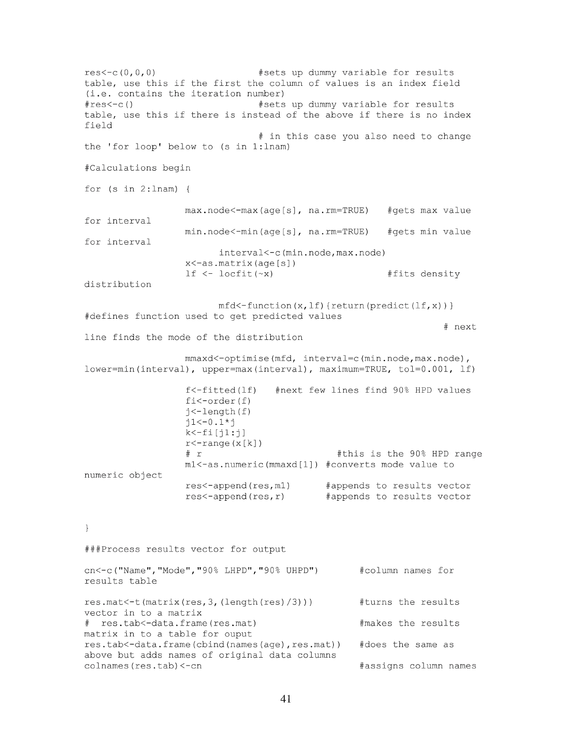res<-c(O,o,0) #sets up dummy variable for results table, use this if the first the column of values is an index field (i.e. contains the iteration number) #res<-c() #sets up dummy variable for results table, use this if there is instead of the above if there is no index field # in this case you also need to change the 'for loop' below to (s in 1:lnam) #Calculations begin for  $(s in 2:lnam)$  { max.node<-max(age[s], na.rm=TRUE) #gets max value for interval min.node<-min(age[s], na.rm=TRUE) #gets min value for interval interval<-c(min.node,max.node) x<-as.matrix(age[s]) If <- locfit(~x) #fits density distribution  $mfd <$ -function(x, lf){return(predict(lf,x))} #defines function used to get predicted values # next line finds the mode of the distribution mmaxd<-optimise(mfd, interval=c(min.node,max.node), lower=min(interval), upper=max(interval), maximum=TRUE, tol=0.001. If) f<-fitted(lf) #next few lines find 90% HPD values fi<-order(f) j<-length(f)  $j1 < -0.1*j$  $k$  <  $-fi[j1:j]$  $r$  < - range (x[k])<br>#  $r$ #this is the 90% HPD range ml<-as.numeric(mmaxd[1]) #converts mode value to numeric object res<-append(res,ml) #appends to results vector res<-append(res,r) #appends to results vector  $\mathcal{F}$ ###Process results vector for output cn<-c("Name","Mode","90% LHPD","90% UHPD") #column names for results table res.mat<-t(matrix(res,3, (length(res)/3))) #turns the results vector in to a matrix # res.tab<-data.frame(res.mat) #makes the results matrix in to a table for ouput res.tab<-data.frame(cbind(names(age),res.mat)) #does the same as above but adds names of original data columns colnames(res.tab)<-cn #assigns column names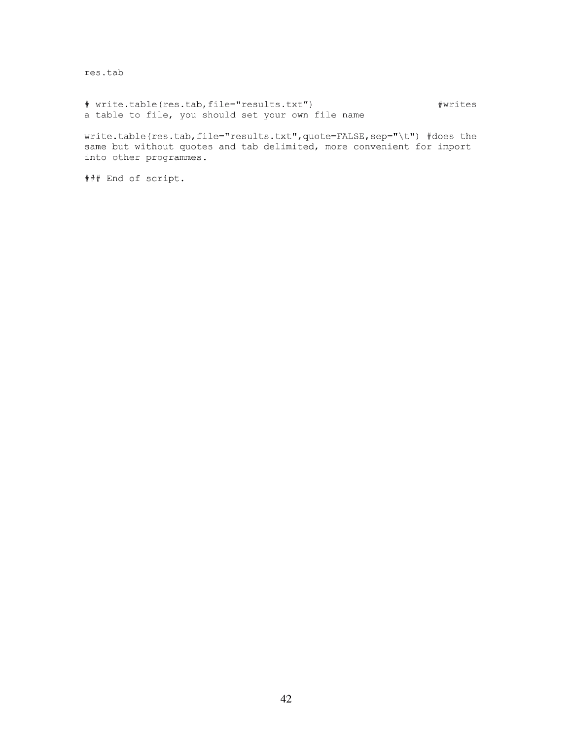res.tab

# write . table(res.tab,file="results.txt") #writes a table to file, you should set your own file name

write.table(res.tab,file="results.txt",quote=FALSE,sep="\t") #does the same but without quotes and tab delimited, more convenient for import into other programmes.

### End of script.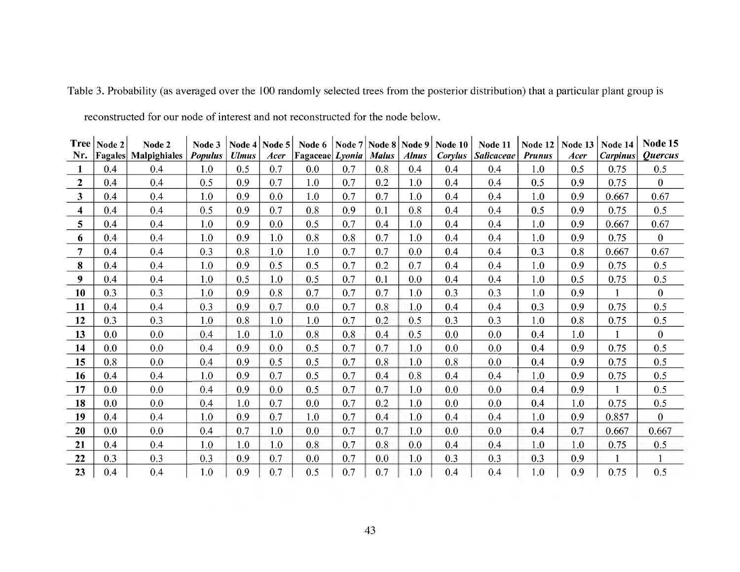| <b>Tree</b>             | Node 2 | Node 2                      | Node 3         |              | Node 4   Node 5 | Node 6          | Node 7 | Node 8 Node 9 |              | Node 10 | Node 11           | Node 12       | Node 13 | Node 14         | Node 15               |
|-------------------------|--------|-----------------------------|----------------|--------------|-----------------|-----------------|--------|---------------|--------------|---------|-------------------|---------------|---------|-----------------|-----------------------|
| Nr.                     |        | <b>Fagales</b> Malpighiales | <b>Populus</b> | <b>Ulmus</b> | Acer            | Fagaceae Lyonia |        | <b>Malus</b>  | <b>Alnus</b> | Corylus | <b>Salicaceae</b> | <b>Prunus</b> | Acer    | <b>Carpinus</b> | <i><b>Ouercus</b></i> |
| $\mathbf{1}$            | 0.4    | 0.4                         | 1.0            | 0.5          | 0.7             | 0.0             | 0.7    | 0.8           | 0.4          | 0.4     | 0.4               | 1.0           | 0.5     | 0.75            | 0.5                   |
| $\overline{2}$          | 0.4    | 0.4                         | 0.5            | 0.9          | 0.7             | 1.0             | 0.7    | 0.2           | 1.0          | 0.4     | 0.4               | 0.5           | 0.9     | 0.75            | $\bf{0}$              |
| $\overline{\mathbf{3}}$ | 0.4    | 0.4                         | 1.0            | 0.9          | 0.0             | 1.0             | 0.7    | 0.7           | 1.0          | 0.4     | 0.4               | 1.0           | 0.9     | 0.667           | 0.67                  |
| $\boldsymbol{4}$        | 0.4    | 0.4                         | 0.5            | 0.9          | 0.7             | 0.8             | 0.9    | 0.1           | 0.8          | 0.4     | 0.4               | 0.5           | 0.9     | 0.75            | 0.5                   |
| 5                       | 0.4    | 0.4                         | 1.0            | 0.9          | 0.0             | 0.5             | 0.7    | 0.4           | 1.0          | 0.4     | 0.4               | 1.0           | 0.9     | 0.667           | 0.67                  |
| 6                       | 0.4    | 0.4                         | 1.0            | 0.9          | 1.0             | 0.8             | 0.8    | 0.7           | 1.0          | 0.4     | 0.4               | 1.0           | 0.9     | 0.75            | $\mathbf{0}$          |
| $\overline{7}$          | 0.4    | 0.4                         | 0.3            | 0.8          | 1.0             | 1.0             | 0.7    | 0.7           | 0.0          | 0.4     | 0.4               | 0.3           | 0.8     | 0.667           | 0.67                  |
| 8                       | 0.4    | 0.4                         | 1.0            | 0.9          | 0.5             | 0.5             | 0.7    | 0.2           | 0.7          | 0.4     | 0.4               | 1.0           | 0.9     | 0.75            | 0.5                   |
| 9                       | 0.4    | 0.4                         | 1.0            | 0.5          | 1.0             | 0.5             | 0.7    | 0.1           | 0.0          | 0.4     | 0.4               | 1.0           | 0.5     | 0.75            | 0.5                   |
| 10                      | 0.3    | 0.3                         | 1.0            | 0.9          | 0.8             | 0.7             | 0.7    | 0.7           | 1.0          | 0.3     | 0.3               | 1.0           | 0.9     |                 | $\overline{0}$        |
| 11                      | 0.4    | 0.4                         | 0.3            | 0.9          | 0.7             | 0.0             | 0.7    | 0.8           | 1.0          | 0.4     | 0.4               | 0.3           | 0.9     | 0.75            | 0.5                   |
| 12                      | 0.3    | 0.3                         | 1.0            | 0.8          | 1.0             | 1.0             | 0.7    | 0.2           | 0.5          | 0.3     | 0.3               | 1.0           | 0.8     | 0.75            | 0.5                   |
| 13                      | 0.0    | 0.0                         | 0.4            | 1.0          | 1.0             | 0.8             | 0.8    | 0.4           | 0.5          | 0.0     | 0.0               | 0.4           | 1.0     |                 | $\bf{0}$              |
| 14                      | 0.0    | 0.0                         | 0.4            | 0.9          | 0.0             | 0.5             | 0.7    | 0.7           | 1.0          | 0.0     | 0.0               | 0.4           | 0.9     | 0.75            | 0.5                   |
| 15                      | 0.8    | 0.0                         | 0.4            | 0.9          | 0.5             | 0.5             | 0.7    | 0.8           | 1.0          | 0.8     | 0.0               | 0.4           | 0.9     | 0.75            | 0.5                   |
| 16                      | 0.4    | 0.4                         | 1.0            | 0.9          | 0.7             | 0.5             | 0.7    | 0.4           | 0.8          | 0.4     | 0.4               | 1.0           | 0.9     | 0.75            | 0.5                   |
| 17                      | 0.0    | 0.0                         | 0.4            | 0.9          | 0.0             | 0.5             | 0.7    | 0.7           | 1.0          | 0.0     | 0.0               | 0.4           | 0.9     |                 | 0.5                   |
| 18                      | 0.0    | 0.0                         | 0.4            | 1.0          | 0.7             | 0.0             | 0.7    | 0.2           | 1.0          | 0.0     | 0.0               | 0.4           | 1.0     | 0.75            | 0.5                   |
| 19                      | 0.4    | 0.4                         | 1.0            | 0.9          | 0.7             | 1.0             | 0.7    | 0.4           | 1.0          | 0.4     | 0.4               | 1.0           | 0.9     | 0.857           | $\overline{0}$        |
| 20                      | 0.0    | 0.0                         | 0.4            | 0.7          | 1.0             | 0.0             | 0.7    | 0.7           | 1.0          | 0.0     | 0.0               | 0.4           | 0.7     | 0.667           | 0.667                 |
| 21                      | 0.4    | 0.4                         | 1.0            | 1.0          | 1.0             | 0.8             | 0.7    | 0.8           | 0.0          | 0.4     | 0.4               | 1.0           | 1.0     | 0.75            | 0.5                   |
| 22                      | 0.3    | 0.3                         | 0.3            | 0.9          | 0.7             | 0.0             | 0.7    | 0.0           | 1.0          | 0.3     | 0.3               | 0.3           | 0.9     |                 |                       |
| 23                      | 0.4    | 0.4                         | 1.0            | 0.9          | 0.7             | 0.5             | 0.7    | 0.7           | 1.0          | 0.4     | 0.4               | 1.0           | 0.9     | 0.75            | 0.5                   |

Table 3. Probability (as averaged over the 100 randomly selected trees from the posterior distribution) that a particular plant group is

reconstructed for our node of interest and not reconstructed for the node below.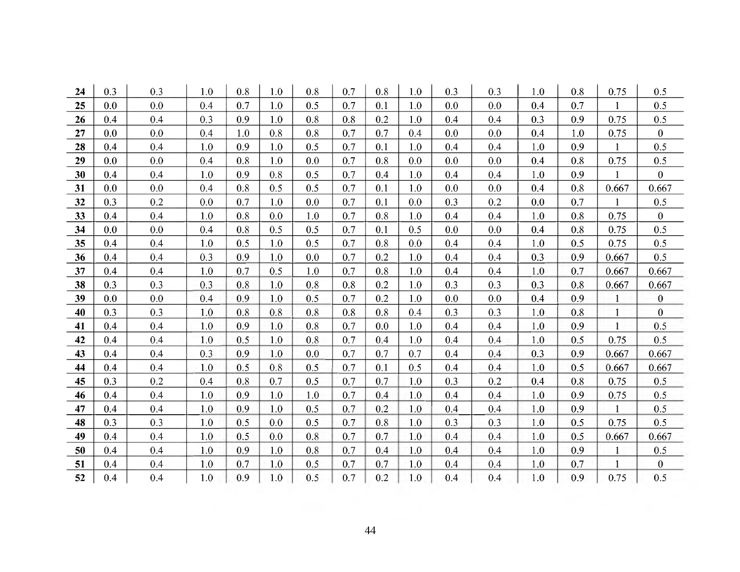| 24 | 0.3 | 0.3 | 1.0 | 0.8 | 1.0     | 0.8 | 0.7 | 0.8 | 1.0 | 0.3 | 0.3 | 1.0 | 0.8 | 0.75         | $0.5\,$          |
|----|-----|-----|-----|-----|---------|-----|-----|-----|-----|-----|-----|-----|-----|--------------|------------------|
| 25 | 0.0 | 0.0 | 0.4 | 0.7 | 1.0     | 0.5 | 0.7 | 0.1 | 1.0 | 0.0 | 0.0 | 0.4 | 0.7 | 1            | 0.5              |
| 26 | 0.4 | 0.4 | 0.3 | 0.9 | 1.0     | 0.8 | 0.8 | 0.2 | 1.0 | 0.4 | 0.4 | 0.3 | 0.9 | 0.75         | 0.5              |
| 27 | 0.0 | 0.0 | 0.4 | 1.0 | 0.8     | 0.8 | 0.7 | 0.7 | 0.4 | 0.0 | 0.0 | 0.4 | 1.0 | 0.75         | $\bf{0}$         |
| 28 | 0.4 | 0.4 | 1.0 | 0.9 | 1.0     | 0.5 | 0.7 | 0.1 | 1.0 | 0.4 | 0.4 | 1.0 | 0.9 | $\mathbf{1}$ | 0.5              |
| 29 | 0.0 | 0.0 | 0.4 | 0.8 | 1.0     | 0.0 | 0.7 | 0.8 | 0.0 | 0.0 | 0.0 | 0.4 | 0.8 | 0.75         | 0.5              |
| 30 | 0.4 | 0.4 | 1.0 | 0.9 | 0.8     | 0.5 | 0.7 | 0.4 | 1.0 | 0.4 | 0.4 | 1.0 | 0.9 | $\mathbf{1}$ | $\overline{0}$   |
| 31 | 0.0 | 0.0 | 0.4 | 0.8 | 0.5     | 0.5 | 0.7 | 0.1 | 1.0 | 0.0 | 0.0 | 0.4 | 0.8 | 0.667        | 0.667            |
| 32 | 0.3 | 0.2 | 0.0 | 0.7 | 1.0     | 0.0 | 0.7 | 0.1 | 0.0 | 0.3 | 0.2 | 0.0 | 0.7 | 1            | $0.5\,$          |
| 33 | 0.4 | 0.4 | 1.0 | 0.8 | 0.0     | 1.0 | 0.7 | 0.8 | 1.0 | 0.4 | 0.4 | 1.0 | 0.8 | 0.75         | $\mathbf{0}$     |
| 34 | 0.0 | 0.0 | 0.4 | 0.8 | 0.5     | 0.5 | 0.7 | 0.1 | 0.5 | 0.0 | 0.0 | 0.4 | 0.8 | 0.75         | 0.5              |
| 35 | 0.4 | 0.4 | 1.0 | 0.5 | 1.0     | 0.5 | 0.7 | 0.8 | 0.0 | 0.4 | 0.4 | 1.0 | 0.5 | 0.75         | 0.5              |
| 36 | 0.4 | 0.4 | 0.3 | 0.9 | 1.0     | 0.0 | 0.7 | 0.2 | 1.0 | 0.4 | 0.4 | 0.3 | 0.9 | 0.667        | 0.5              |
| 37 | 0.4 | 0.4 | 1.0 | 0.7 | 0.5     | 1.0 | 0.7 | 0.8 | 1.0 | 0.4 | 0.4 | 1.0 | 0.7 | 0.667        | 0.667            |
| 38 | 0.3 | 0.3 | 0.3 | 0.8 | 1.0     | 0.8 | 0.8 | 0.2 | 1.0 | 0.3 | 0.3 | 0.3 | 0.8 | 0.667        | 0.667            |
| 39 | 0.0 | 0.0 | 0.4 | 0.9 | 1.0     | 0.5 | 0.7 | 0.2 | 1.0 | 0.0 | 0.0 | 0.4 | 0.9 | $\mathbf{1}$ | $\boldsymbol{0}$ |
| 40 | 0.3 | 0.3 | 1.0 | 0.8 | 0.8     | 0.8 | 0.8 | 0.8 | 0.4 | 0.3 | 0.3 | 1.0 | 0.8 | $\mathbf{1}$ | $\mathbf{0}$     |
| 41 | 0.4 | 0.4 | 1.0 | 0.9 | 1.0     | 0.8 | 0.7 | 0.0 | 1.0 | 0.4 | 0.4 | 1.0 | 0.9 | $\mathbf{1}$ | 0.5              |
| 42 | 0.4 | 0.4 | 1.0 | 0.5 | 1.0     | 0.8 | 0.7 | 0.4 | 1.0 | 0.4 | 0.4 | 1.0 | 0.5 | 0.75         | 0.5              |
| 43 | 0.4 | 0.4 | 0.3 | 0.9 | 1.0     | 0.0 | 0.7 | 0.7 | 0.7 | 0.4 | 0.4 | 0.3 | 0.9 | 0.667        | 0.667            |
| 44 | 0.4 | 0.4 | 1.0 | 0.5 | 0.8     | 0.5 | 0.7 | 0.1 | 0.5 | 0.4 | 0.4 | 1.0 | 0.5 | 0.667        | 0.667            |
| 45 | 0.3 | 0.2 | 0.4 | 0.8 | 0.7     | 0.5 | 0.7 | 0.7 | 1.0 | 0.3 | 0.2 | 0.4 | 0.8 | 0.75         | 0.5              |
| 46 | 0.4 | 0.4 | 1.0 | 0.9 | 1.0     | 1.0 | 0.7 | 0.4 | 1.0 | 0.4 | 0.4 | 1.0 | 0.9 | 0.75         | 0.5              |
| 47 | 0.4 | 0.4 | 1.0 | 0.9 | 1.0     | 0.5 | 0.7 | 0.2 | 1.0 | 0.4 | 0.4 | 1.0 | 0.9 | $\mathbf{1}$ | 0.5              |
| 48 | 0.3 | 0.3 | 1.0 | 0.5 | 0.0     | 0.5 | 0.7 | 0.8 | 1.0 | 0.3 | 0.3 | 1.0 | 0.5 | 0.75         | 0.5              |
| 49 | 0.4 | 0.4 | 1.0 | 0.5 | 0.0     | 0.8 | 0.7 | 0.7 | 1.0 | 0.4 | 0.4 | 1.0 | 0.5 | 0.667        | 0.667            |
| 50 | 0.4 | 0.4 | 1.0 | 0.9 | 1.0     | 0.8 | 0.7 | 0.4 | 1.0 | 0.4 | 0.4 | 1.0 | 0.9 | -1           | 0.5              |
| 51 | 0.4 | 0.4 | 1.0 | 0.7 | $1.0\,$ | 0.5 | 0.7 | 0.7 | 1.0 | 0.4 | 0.4 | 1.0 | 0.7 | $\mathbf{1}$ | $\boldsymbol{0}$ |
| 52 | 0.4 | 0.4 | 1.0 | 0.9 | 1.0     | 0.5 | 0.7 | 0.2 | 1.0 | 0.4 | 0.4 | 1.0 | 0.9 | 0.75         | 0.5              |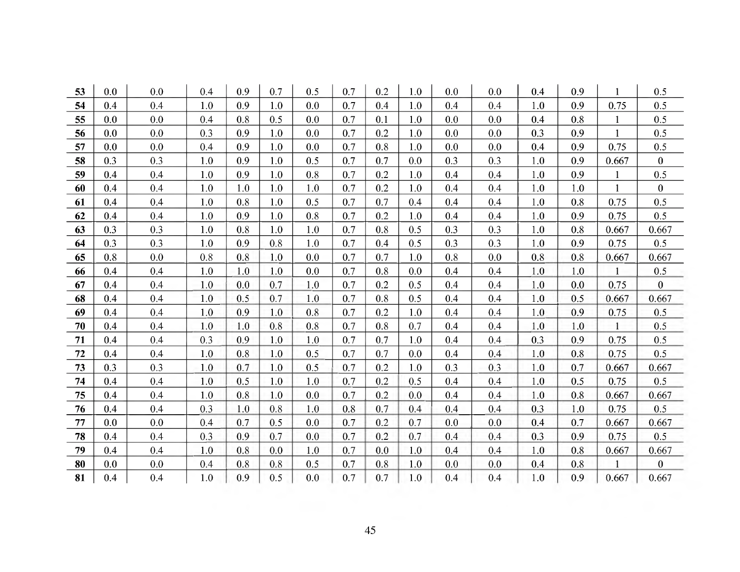| 53 | 0.0 | 0.0 | 0.4 | 0.9 | 0.7 | 0.5 | 0.7 | 0.2 | 1.0 | 0.0 | 0.0 | 0.4 | 0.9 |              | 0.5              |
|----|-----|-----|-----|-----|-----|-----|-----|-----|-----|-----|-----|-----|-----|--------------|------------------|
| 54 | 0.4 | 0.4 | 1.0 | 0.9 | 1.0 | 0.0 | 0.7 | 0.4 | 1.0 | 0.4 | 0.4 | 1.0 | 0.9 | 0.75         | 0.5              |
| 55 | 0.0 | 0.0 | 0.4 | 0.8 | 0.5 | 0.0 | 0.7 | 0.1 | 1.0 | 0.0 | 0.0 | 0.4 | 0.8 | 1            | 0.5              |
| 56 | 0.0 | 0.0 | 0.3 | 0.9 | 1.0 | 0.0 | 0.7 | 0.2 | 1.0 | 0.0 | 0.0 | 0.3 | 0.9 | 1            | 0.5              |
| 57 | 0.0 | 0.0 | 0.4 | 0.9 | 1.0 | 0.0 | 0.7 | 0.8 | 1.0 | 0.0 | 0.0 | 0.4 | 0.9 | 0.75         | 0.5              |
| 58 | 0.3 | 0.3 | 1.0 | 0.9 | 1.0 | 0.5 | 0.7 | 0.7 | 0.0 | 0.3 | 0.3 | 1.0 | 0.9 | 0.667        | $\bf{0}$         |
| 59 | 0.4 | 0.4 | 1.0 | 0.9 | 1.0 | 0.8 | 0.7 | 0.2 | 1.0 | 0.4 | 0.4 | 1.0 | 0.9 | $\mathbf{1}$ | 0.5              |
| 60 | 0.4 | 0.4 | 1.0 | 1.0 | 1.0 | 1.0 | 0.7 | 0.2 | 1.0 | 0.4 | 0.4 | 1.0 | 1.0 |              | $\boldsymbol{0}$ |
| 61 | 0.4 | 0.4 | 1.0 | 0.8 | 1.0 | 0.5 | 0.7 | 0.7 | 0.4 | 0.4 | 0.4 | 1.0 | 0.8 | 0.75         | 0.5              |
| 62 | 0.4 | 0.4 | 1.0 | 0.9 | 1.0 | 0.8 | 0.7 | 0.2 | 1.0 | 0.4 | 0.4 | 1.0 | 0.9 | 0.75         | 0.5              |
| 63 | 0.3 | 0.3 | 1.0 | 0.8 | 1.0 | 1.0 | 0.7 | 0.8 | 0.5 | 0.3 | 0.3 | 1.0 | 0.8 | 0.667        | 0.667            |
| 64 | 0.3 | 0.3 | 1.0 | 0.9 | 0.8 | 1.0 | 0.7 | 0.4 | 0.5 | 0.3 | 0.3 | 1.0 | 0.9 | 0.75         | 0.5              |
| 65 | 0.8 | 0.0 | 0.8 | 0.8 | 1.0 | 0.0 | 0.7 | 0.7 | 1.0 | 0.8 | 0.0 | 0.8 | 0.8 | 0.667        | 0.667            |
| 66 | 0.4 | 0.4 | 1.0 | 1.0 | 1.0 | 0.0 | 0.7 | 0.8 | 0.0 | 0.4 | 0.4 | 1.0 | 1.0 | $\mathbf{1}$ | 0.5              |
| 67 | 0.4 | 0.4 | 1.0 | 0.0 | 0.7 | 1.0 | 0.7 | 0.2 | 0.5 | 0.4 | 0.4 | 1.0 | 0.0 | 0.75         | $\mathbf{0}$     |
| 68 | 0.4 | 0.4 | 1.0 | 0.5 | 0.7 | 1.0 | 0.7 | 0.8 | 0.5 | 0.4 | 0.4 | 1.0 | 0.5 | 0.667        | 0.667            |
| 69 | 0.4 | 0.4 | 1.0 | 0.9 | 1.0 | 0.8 | 0.7 | 0.2 | 1.0 | 0.4 | 0.4 | 1.0 | 0.9 | 0.75         | 0.5              |
| 70 | 0.4 | 0.4 | 1.0 | 1.0 | 0.8 | 0.8 | 0.7 | 0.8 | 0.7 | 0.4 | 0.4 | 1.0 | 1.0 |              | 0.5              |
| 71 | 0.4 | 0.4 | 0.3 | 0.9 | 1.0 | 1.0 | 0.7 | 0.7 | 1.0 | 0.4 | 0.4 | 0.3 | 0.9 | 0.75         | 0.5              |
| 72 | 0.4 | 0.4 | 1.0 | 0.8 | 1.0 | 0.5 | 0.7 | 0.7 | 0.0 | 0.4 | 0.4 | 1.0 | 0.8 | 0.75         | 0.5              |
| 73 | 0.3 | 0.3 | 1.0 | 0.7 | 1.0 | 0.5 | 0.7 | 0.2 | 1.0 | 0.3 | 0.3 | 1.0 | 0.7 | 0.667        | 0.667            |
| 74 | 0.4 | 0.4 | 1.0 | 0.5 | 1.0 | 1.0 | 0.7 | 0.2 | 0.5 | 0.4 | 0.4 | 1.0 | 0.5 | 0.75         | 0.5              |
| 75 | 0.4 | 0.4 | 1.0 | 0.8 | 1.0 | 0.0 | 0.7 | 0.2 | 0.0 | 0.4 | 0.4 | 1.0 | 0.8 | 0.667        | 0.667            |
| 76 | 0.4 | 0.4 | 0.3 | 1.0 | 0.8 | 1.0 | 0.8 | 0.7 | 0.4 | 0.4 | 0.4 | 0.3 | 1.0 | 0.75         | 0.5              |
| 77 | 0.0 | 0.0 | 0.4 | 0.7 | 0.5 | 0.0 | 0.7 | 0.2 | 0.7 | 0.0 | 0.0 | 0.4 | 0.7 | 0.667        | 0.667            |
| 78 | 0.4 | 0.4 | 0.3 | 0.9 | 0.7 | 0.0 | 0.7 | 0.2 | 0.7 | 0.4 | 0.4 | 0.3 | 0.9 | 0.75         | 0.5              |
| 79 | 0.4 | 0.4 | 1.0 | 0.8 | 0.0 | 1.0 | 0.7 | 0.0 | 1.0 | 0.4 | 0.4 | 1.0 | 0.8 | 0.667        | 0.667            |
| 80 | 0.0 | 0.0 | 0.4 | 0.8 | 0.8 | 0.5 | 0.7 | 0.8 | 1.0 | 0.0 | 0.0 | 0.4 | 0.8 | $\mathbf{1}$ | $\bf{0}$         |
| 81 | 0.4 | 0.4 | 1.0 | 0.9 | 0.5 | 0.0 | 0.7 | 0.7 | 1.0 | 0.4 | 0.4 | 1.0 | 0.9 | 0.667        | 0.667            |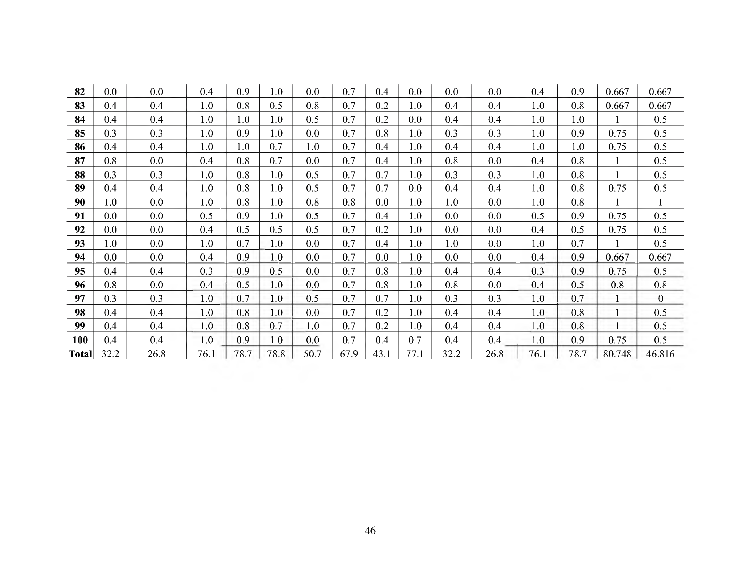| 82           | $0.0\,$ | 0.0  | 0.4  | 0.9  | 1.0  | 0.0  | 0.7  | 0.4  | 0.0     | 0.0  | 0.0  | 0.4  | 0.9  | 0.667  | 0.667        |
|--------------|---------|------|------|------|------|------|------|------|---------|------|------|------|------|--------|--------------|
| 83           | 0.4     | 0.4  | 1.0  | 0.8  | 0.5  | 0.8  | 0.7  | 0.2  | 1.0     | 0.4  | 0.4  | 1.0  | 0.8  | 0.667  | 0.667        |
| 84           | 0.4     | 0.4  | 1.0  | 1.0  | 1.0  | 0.5  | 0.7  | 0.2  | 0.0     | 0.4  | 0.4  | 1.0  | 1.0  |        | 0.5          |
| 85           | 0.3     | 0.3  | 1.0  | 0.9  | 1.0  | 0.0  | 0.7  | 0.8  | 1.0     | 0.3  | 0.3  | 1.0  | 0.9  | 0.75   | 0.5          |
| 86           | 0.4     | 0.4  | 1.0  | 1.0  | 0.7  | 1.0  | 0.7  | 0.4  | 1.0     | 0.4  | 0.4  | 1.0  | 1.0  | 0.75   | 0.5          |
| 87           | 0.8     | 0.0  | 0.4  | 0.8  | 0.7  | 0.0  | 0.7  | 0.4  | 1.0     | 0.8  | 0.0  | 0.4  | 0.8  |        | 0.5          |
| 88           | 0.3     | 0.3  | 1.0  | 0.8  | 1.0  | 0.5  | 0.7  | 0.7  | 1.0     | 0.3  | 0.3  | 1.0  | 0.8  |        | 0.5          |
| 89           | 0.4     | 0.4  | 1.0  | 0.8  | 1.0  | 0.5  | 0.7  | 0.7  | 0.0     | 0.4  | 0.4  | 1.0  | 0.8  | 0.75   | 0.5          |
| 90           | 1.0     | 0.0  | 1.0  | 0.8  | 1.0  | 0.8  | 0.8  | 0.0  | 1.0     | 1.0  | 0.0  | 1.0  | 0.8  |        |              |
| 91           | $0.0\,$ | 0.0  | 0.5  | 0.9  | 1.0  | 0.5  | 0.7  | 0.4  | 1.0     | 0.0  | 0.0  | 0.5  | 0.9  | 0.75   | 0.5          |
| 92           | $0.0\,$ | 0.0  | 0.4  | 0.5  | 0.5  | 0.5  | 0.7  | 0.2  | 1.0     | 0.0  | 0.0  | 0.4  | 0.5  | 0.75   | 0.5          |
| 93           | 1.0     | 0.0  | 1.0  | 0.7  | 1.0  | 0.0  | 0.7  | 0.4  | $1.0\,$ | 1.0  | 0.0  | 1.0  | 0.7  |        | 0.5          |
| 94           | $0.0\,$ | 0.0  | 0.4  | 0.9  | 1.0  | 0.0  | 0.7  | 0.0  | 1.0     | 0.0  | 0.0  | 0.4  | 0.9  | 0.667  | 0.667        |
| 95           | 0.4     | 0.4  | 0.3  | 0.9  | 0.5  | 0.0  | 0.7  | 0.8  | 1.0     | 0.4  | 0.4  | 0.3  | 0.9  | 0.75   | 0.5          |
| 96           | 0.8     | 0.0  | 0.4  | 0.5  | 1.0  | 0.0  | 0.7  | 0.8  | 1.0     | 0.8  | 0.0  | 0.4  | 0.5  | 0.8    | 0.8          |
| 97           | 0.3     | 0.3  | 1.0  | 0.7  | 1.0  | 0.5  | 0.7  | 0.7  | 1.0     | 0.3  | 0.3  | 1.0  | 0.7  |        | $\mathbf{0}$ |
| 98           | 0.4     | 0.4  | 1.0  | 0.8  | 1.0  | 0.0  | 0.7  | 0.2  | 1.0     | 0.4  | 0.4  | 1.0  | 0.8  |        | 0.5          |
| 99           | 0.4     | 0.4  | 1.0  | 0.8  | 0.7  | 1.0  | 0.7  | 0.2  | 1.0     | 0.4  | 0.4  | 1.0  | 0.8  |        | 0.5          |
| 100          | 0.4     | 0.4  | 1.0  | 0.9  | 1.0  | 0.0  | 0.7  | 0.4  | 0.7     | 0.4  | 0.4  | 1.0  | 0.9  | 0.75   | 0.5          |
| <b>Total</b> | 32.2    | 26.8 | 76.1 | 78.7 | 78.8 | 50.7 | 67.9 | 43.1 | 77.1    | 32.2 | 26.8 | 76.1 | 78.7 | 80.748 | 46.816       |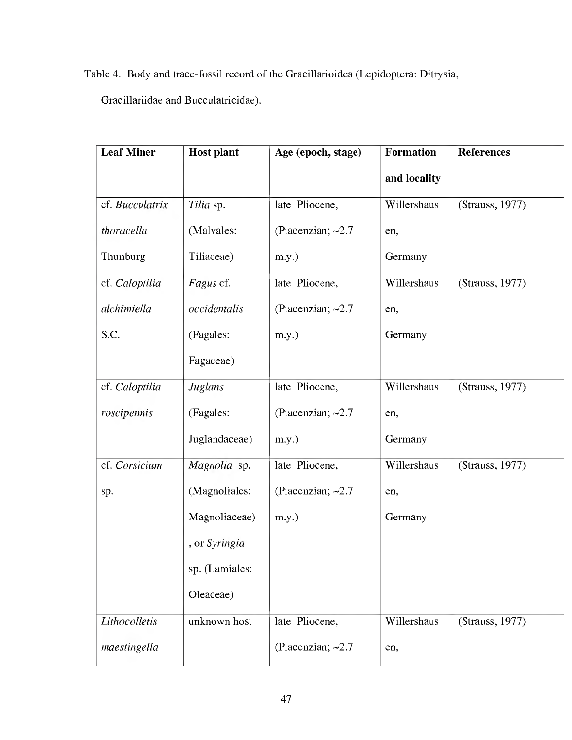Table 4. Body and trace-fossil record of the Gracillarioidea (Lepidoptera: Ditrysia,

Gracillariidae and Bucculatricidae).

| <b>Leaf Miner</b> | <b>Host plant</b>    | Age (epoch, stage)      | <b>Formation</b> | <b>References</b> |
|-------------------|----------------------|-------------------------|------------------|-------------------|
|                   |                      |                         | and locality     |                   |
| cf. Bucculatrix   | Tilia sp.            | late Pliocene,          | Willershaus      | (Strauss, 1977)   |
| thoracella        | (Malvales:           | (Piacenzian; $\sim$ 2.7 | en,              |                   |
| Thunburg          | Tiliaceae)           | $m.y.$ )                | Germany          |                   |
| cf. Caloptilia    | Fagus cf.            | late Pliocene,          | Willershaus      | (Strauss, 1977)   |
| alchimiella       | occidentalis         | (Piacenzian; $\sim 2.7$ | en,              |                   |
| S.C.              | (Fagales:            | $m.y.$ )                | Germany          |                   |
|                   | Fagaceae)            |                         |                  |                   |
| cf. Caloptilia    | Juglans              | late Pliocene,          | Willershaus      | (Strauss, 1977)   |
| roscipennis       | (Fagales:            | (Piacenzian; $\sim$ 2.7 | en,              |                   |
|                   | Juglandaceae)        | $m.y.$ )                | Germany          |                   |
| cf. Corsicium     | Magnolia sp.         | late Pliocene,          | Willershaus      | (Strauss, 1977)   |
| sp.               | (Magnoliales:        | (Piacenzian; $\sim 2.7$ | en,              |                   |
|                   | Magnoliaceae)        | $m.y.$ )                | Germany          |                   |
|                   | , or <i>Syringia</i> |                         |                  |                   |
|                   | sp. (Lamiales:       |                         |                  |                   |
|                   | Oleaceae)            |                         |                  |                   |
| Lithocolletis     | unknown host         | late Pliocene,          | Willershaus      | (Strauss, 1977)   |
| maestingella      |                      | (Piacenzian; $\sim$ 2.7 | en,              |                   |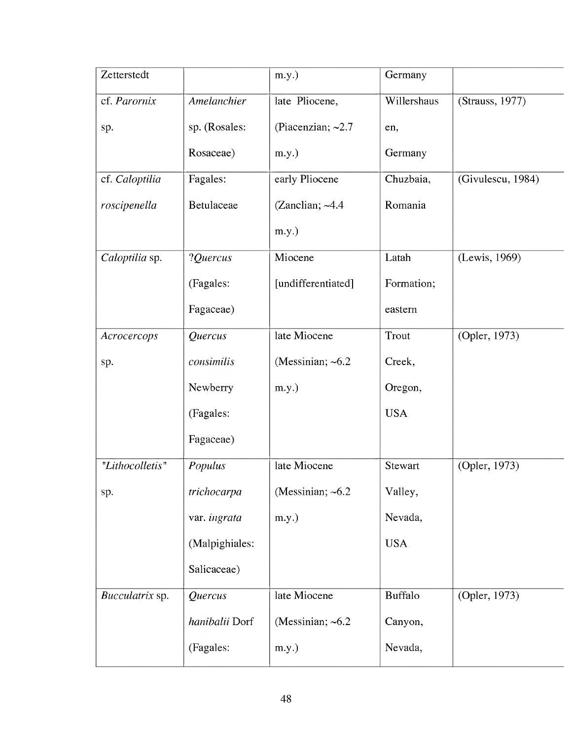| Zetterstedt     |                | $m.y.$ )                | Germany        |                   |
|-----------------|----------------|-------------------------|----------------|-------------------|
| cf. Parornix    | Amelanchier    | late Pliocene,          | Willershaus    | (Strauss, 1977)   |
| sp.             | sp. (Rosales:  | (Piacenzian; $\sim$ 2.7 | en,            |                   |
|                 | Rosaceae)      | $m.y.$ )                | Germany        |                   |
| cf. Caloptilia  | Fagales:       | early Pliocene          | Chuzbaia,      | (Givulescu, 1984) |
| roscipenella    | Betulaceae     | (Zanclian; $~4.4$       | Romania        |                   |
|                 |                | $m.y.$ )                |                |                   |
| Caloptilia sp.  | ?Quercus       | Miocene                 | Latah          | (Lewis, 1969)     |
|                 | (Fagales:      | [undifferentiated]      | Formation;     |                   |
|                 | Fagaceae)      |                         | eastern        |                   |
| Acrocercops     | Quercus        | late Miocene            | Trout          | (Opler, 1973)     |
| sp.             | consimilis     | (Messinian; $~6.2$ )    | Creek,         |                   |
|                 | Newberry       | $m.y.$ )                | Oregon,        |                   |
|                 | (Fagales:      |                         | <b>USA</b>     |                   |
|                 | Fagaceae)      |                         |                |                   |
| "Lithocolletis" | Populus        | late Miocene            | Stewart        | (Opler, 1973)     |
| sp.             | trichocarpa    | (Messinian; $~6.2$ )    | Valley,        |                   |
|                 | var. ingrata   | $m.y.$ )                | Nevada,        |                   |
|                 | (Malpighiales: |                         | <b>USA</b>     |                   |
|                 | Salicaceae)    |                         |                |                   |
| Bucculatrix sp. | Quercus        | late Miocene            | <b>Buffalo</b> | (Opler, 1973)     |
|                 | hanibalii Dorf | (Messinian; $~6.2$ )    | Canyon,        |                   |
|                 | (Fagales:      | $m.y.$ )                | Nevada,        |                   |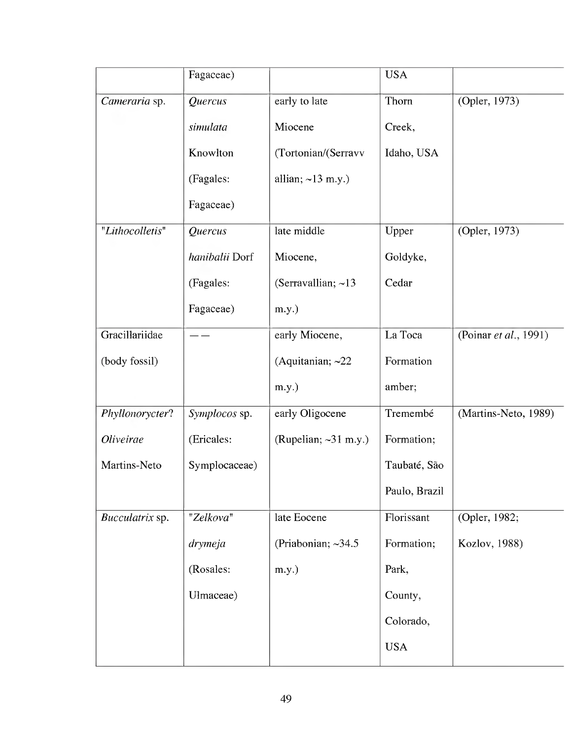|                  | Fagaceae)      |                            | <b>USA</b>    |                       |
|------------------|----------------|----------------------------|---------------|-----------------------|
| Cameraria sp.    | Quercus        | early to late              | Thorn         | (Opler, 1973)         |
|                  | simulata       | Miocene                    | Creek,        |                       |
|                  | Knowlton       | (Tortonian/(Serravv        | Idaho, USA    |                       |
|                  | (Fagales:      | allian; $\sim$ 13 m.y.)    |               |                       |
|                  | Fagaceae)      |                            |               |                       |
| "Lithocolletis"  | Quercus        | late middle                | Upper         | (Opler, 1973)         |
|                  | hanibalii Dorf | Miocene,                   | Goldyke,      |                       |
|                  | (Fagales:      | (Serravallian; $\sim$ 13   | Cedar         |                       |
|                  | Fagaceae)      | $m.y.$ )                   |               |                       |
| Gracillariidae   |                | early Miocene,             | La Toca       | (Poinar et al., 1991) |
| (body fossil)    |                | (Aquitanian; $\sim$ 22     | Formation     |                       |
|                  |                | $m.y.$ )                   | amber;        |                       |
| Phyllonorycter?  | Symplocos sp.  | early Oligocene            | Tremembé      | (Martins-Neto, 1989)  |
| <b>Oliveirae</b> | (Ericales:     | (Rupelian; $\sim$ 31 m.y.) | Formation;    |                       |
| Martins-Neto     | Symplocaceae)  |                            | Taubaté, São  |                       |
|                  |                |                            | Paulo, Brazil |                       |
| Bucculatrix sp.  | "Zelkova"      | late Eocene                | Florissant    | (Opler, 1982;         |
|                  | drymeja        | (Priabonian; $\sim$ 34.5   | Formation;    | Kozlov, 1988)         |
|                  | (Rosales:      | $m.y.$ )                   | Park,         |                       |
|                  | Ulmaceae)      |                            | County,       |                       |
|                  |                |                            | Colorado,     |                       |
|                  |                |                            | <b>USA</b>    |                       |
|                  |                |                            |               |                       |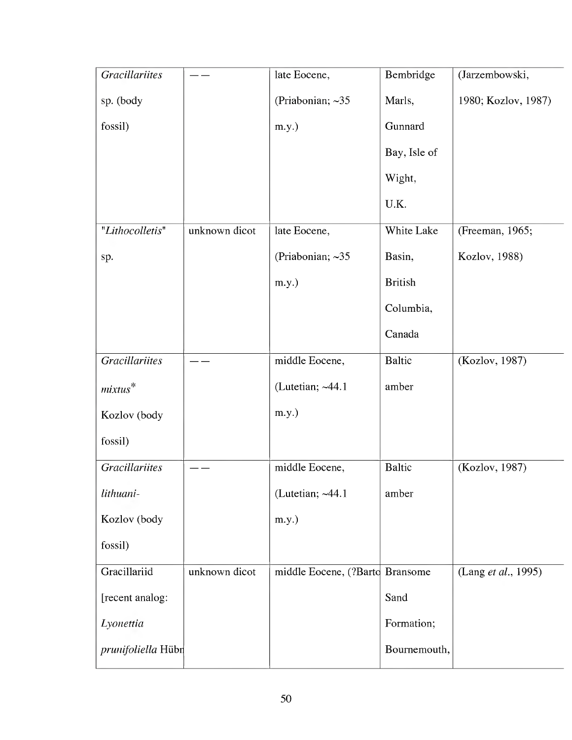| <b>Gracillariites</b> |               | late Eocene,                    | Bembridge      | (Jarzembowski,      |
|-----------------------|---------------|---------------------------------|----------------|---------------------|
| sp. (body             |               | (Priabonian; $\sim$ 35          | Marls,         | 1980; Kozlov, 1987) |
| fossil)               |               | $m.y.$ )                        | Gunnard        |                     |
|                       |               |                                 | Bay, Isle of   |                     |
|                       |               |                                 | Wight,         |                     |
|                       |               |                                 | U.K.           |                     |
| "Lithocolletis"       | unknown dicot | late Eocene,                    | White Lake     | (Freeman, 1965;     |
| sp.                   |               | (Priabonian; $\sim$ 35          | Basin,         | Kozlov, 1988)       |
|                       |               | $m.y.$ )                        | <b>British</b> |                     |
|                       |               |                                 | Columbia,      |                     |
|                       |               |                                 | Canada         |                     |
| <b>Gracillariites</b> |               | middle Eocene,                  | <b>Baltic</b>  | (Kozlov, 1987)      |
| $mixtus^*$            |               | (Lutetian; ~44.1                | amber          |                     |
| Kozlov (body          |               | $m.y.$ )                        |                |                     |
| fossil)               |               |                                 |                |                     |
| <b>Gracillariites</b> |               | middle Eocene,                  | <b>Baltic</b>  | (Kozlov, 1987)      |
| lithuani-             |               | (Lutetian; $~44.1$              | amber          |                     |
| Kozlov (body          |               | $m.y.$ )                        |                |                     |
| fossil)               |               |                                 |                |                     |
| Gracillariid          | unknown dicot | middle Eocene, (?Barto Bransome |                | (Lang et al., 1995) |
| [recent analog:       |               |                                 | Sand           |                     |
| Lyonettia             |               |                                 | Formation;     |                     |
| prunifoliella Hübn    |               |                                 | Bournemouth,   |                     |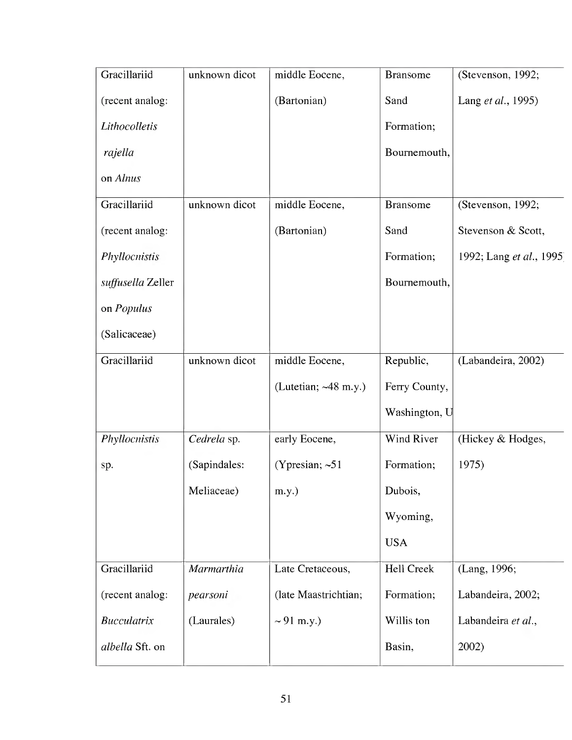| Gracillariid       | unknown dicot | middle Eocene,             | <b>Bransome</b> | (Stevenson, 1992;       |
|--------------------|---------------|----------------------------|-----------------|-------------------------|
| (recent analog:    |               | (Bartonian)                | Sand            | Lang et al., 1995)      |
| Lithocolletis      |               |                            | Formation;      |                         |
| rajella            |               |                            | Bournemouth,    |                         |
| on Alnus           |               |                            |                 |                         |
| Gracillariid       | unknown dicot | middle Eocene,             | <b>Bransome</b> | (Stevenson, 1992;       |
| (recent analog:    |               | (Bartonian)                | Sand            | Stevenson & Scott,      |
| Phyllocnistis      |               |                            | Formation;      | 1992; Lang et al., 1995 |
| suffusella Zeller  |               |                            | Bournemouth,    |                         |
| on Populus         |               |                            |                 |                         |
| (Salicaceae)       |               |                            |                 |                         |
| Gracillariid       | unknown dicot | middle Eocene,             | Republic,       | (Labandeira, 2002)      |
|                    |               | (Lutetian; $\sim$ 48 m.y.) | Ferry County,   |                         |
|                    |               |                            | Washington, U   |                         |
| Phyllocnistis      | Cedrela sp.   | early Eocene,              | Wind River      | (Hickey & Hodges,       |
| sp.                | (Sapindales:  | (Ypresian; $~51$ )         | Formation;      | 1975)                   |
|                    | Meliaceae)    | m.y.)                      | Dubois,         |                         |
|                    |               |                            | Wyoming,        |                         |
|                    |               |                            | <b>USA</b>      |                         |
| Gracillariid       | Marmarthia    | Late Cretaceous,           | Hell Creek      | (Lang, 1996;            |
| (recent analog:    | pearsoni      | (late Maastrichtian;       | Formation;      | Labandeira, 2002;       |
| <b>Bucculatrix</b> | (Laurales)    | $\sim 91$ m.y.)            | Willis ton      | Labandeira et al.,      |
| albella Sft. on    |               |                            | Basin,          | 2002)                   |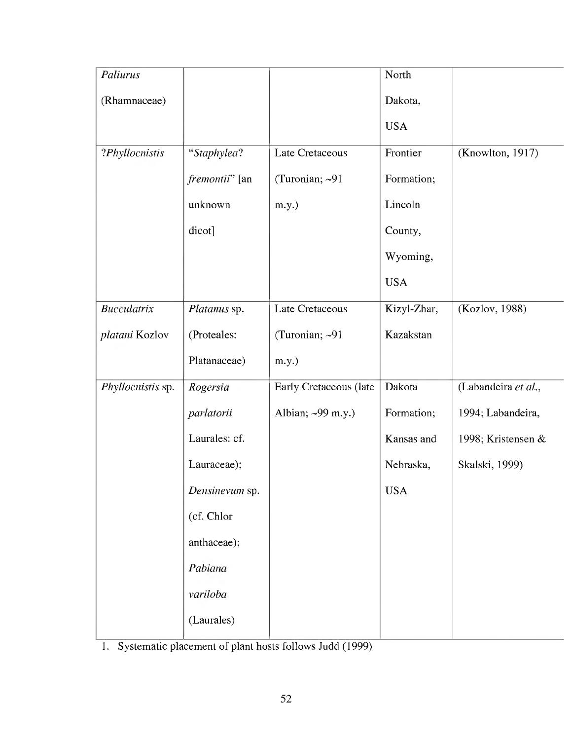| Paliurus           |                        |                        | North       |                     |
|--------------------|------------------------|------------------------|-------------|---------------------|
| (Rhamnaceae)       |                        |                        | Dakota,     |                     |
|                    |                        |                        | <b>USA</b>  |                     |
| ?Phyllocnistis     | "Staphylea?            | Late Cretaceous        | Frontier    | (Knowlton, 1917)    |
|                    | <i>fremontii</i> " [an | (Turonian; $\sim$ 91   | Formation;  |                     |
|                    | unknown                | m.y.)                  | Lincoln     |                     |
|                    | dicot]                 |                        | County,     |                     |
|                    |                        |                        | Wyoming,    |                     |
|                    |                        |                        | <b>USA</b>  |                     |
| <b>Bucculatrix</b> | Platanus sp.           | <b>Late Cretaceous</b> | Kizyl-Zhar, | (Kozlov, 1988)      |
| platani Kozlov     | (Proteales:            | (Turonian; ~91         | Kazakstan   |                     |
|                    | Platanaceae)           | m.y.)                  |             |                     |
| Phyllocnistis sp.  | Rogersia               | Early Cretaceous (late | Dakota      | (Labandeira et al., |
|                    | parlatorii             | Albian; ~99 m.y.)      | Formation;  | 1994; Labandeira,   |
|                    | Laurales: cf.          |                        | Kansas and  | 1998; Kristensen &  |
|                    | Lauraceae);            |                        | Nebraska,   | Skalski, 1999)      |
|                    | Densinevum sp.         |                        | <b>USA</b>  |                     |
|                    | (cf. Chlor             |                        |             |                     |
|                    | anthaceae);            |                        |             |                     |
|                    | Pabiana                |                        |             |                     |
|                    | variloba               |                        |             |                     |
|                    | (Laurales)             |                        |             |                     |

1. Systematic placement of plant hosts follows Judd (1999)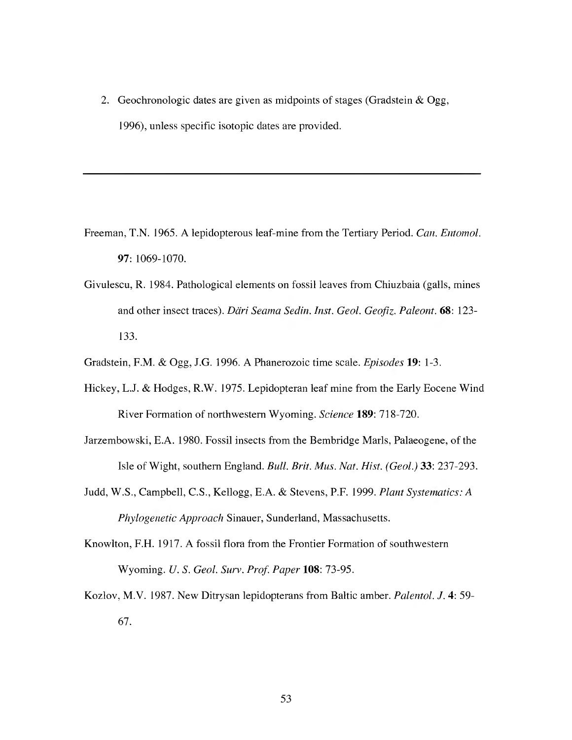2. Geochronologic dates are given as midpoints of stages (Gradstein & Ogg, 1996), unless specific isotopic dates are provided.

- Freeman, T.N. 1965. A lepidopterous leaf-mine from the Tertiary Period. *Can. Entomol.* 97: 1069-1070.
- Givulescu, R. 1984. Pathological elements on fossil leaves from Chiuzbaia (galls, mines and other insect traces). *Däri Seama Sedin. Inst. Geol. Geofiz. Paleont.* 68: 123- 133.
- Gradstein, F.M. & Ogg, J.G. 1996. A Phanerozoic time scale. *Episodes* **19:** 1-3.
- Hickey, L.J. & Hodges, R.W. 1975. Lepidopteran leaf mine from the Early Eocene Wind River Formation of northwestern Wyoming. *Science* **189:** 718-720.
- Jarzembowski, E.A. 1980. Fossil insects from the Bembridge Marls, Palaeogene, of the Isle of Wight, southern England. *Bull. Brit. Mus. Nat. Hist. (Geol.)* 33: 237-293.
- Judd, W.S., Campbell, C.S., Kellogg, E.A. & Stevens, P.F. 1999. *Plant Systematics: A Phylogenetic Approach* Sinauer, Sunderland, Massachusetts.
- Knowlton, F.H. 1917. A fossil flora from the Frontier Formation of southwestern Wyoming. *U. S. Geol. Surv. Prof. Paper* **108:** 73-95.
- Kozlov, M.V. 1987. New Ditrysan lepidopterans from Baltic amber. *Palentol. J.* 4: 59- 67.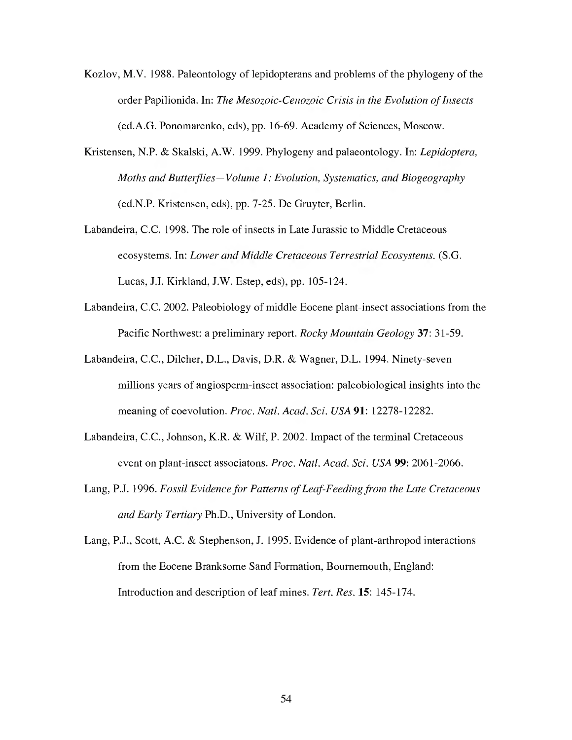- Kozlov, M.V. 1988. Paleontology of lepidopterans and problems of the phylogeny of the order Papilionida. In: *The Mesozoic-Cenozoic Crisis in the Evolution ofInsects* (ed.A.G. Ponomarenko, eds), pp. 16-69. Academy of Sciences, Moscow.
- Kristensen, N.P. & Skalski, A.W. 1999. Phylogeny and palaeontology. In: *Lepidoptera, Moths* and *Butterflies-Volume 1: Evolution, Systematics, and Biogeography* (ed.N.P. Kristensen, eds), pp. 7-25. De Gruyter, Berlin.
- Labandeira, C.C. 1998. The role of insects in Late Jurassic to Middle Cretaceous ecosystems. In: *Lower and Middle Cretaceous Terrestrial Ecosystems.* (S.G. Lucas, J.I. Kirkland, J.W. Estep, eds), pp. 105-124.
- Labandeira, C.C. 2002. Paleobiology of middle Eocene plant-insect associations from the Pacific Northwest: a preliminary report. *Rocky Mountain Geology* 37: 31-59.
- Labandeira, C.C, Dilcher, D.L., Davis, D.R. & Wagner, D.L. 1994. Ninety-seven millions years of angiosperm-insect association: paleobiological insights into the meaning of coevolution. *Proc. Nati. Acad. Sei. USA* 91: 12278-12282.
- Labandeira, C.C, Johnson, K.R. & Wilf, P. 2002. Impact of the terminal Cretaceous event on plant-insect associatons. *Proc. Nati. Acad. Sei. USA* 99: 2061-2066.
- Lang, P.J. 1996. *Fossil Evidence for Patterns ofLeaf-Feedingfrom the Late Cretaceous and Early Tertiary* Ph.D., University of London.
- Lang, P.J., Scott, A.C. & Stephenson, J. 1995. Evidence of plant-arthropod interactions from the Eocene Branksome Sand Formation, Bournemouth, England: Introduction and description of leaf mines. *Tert. Res.* 15: 145-174.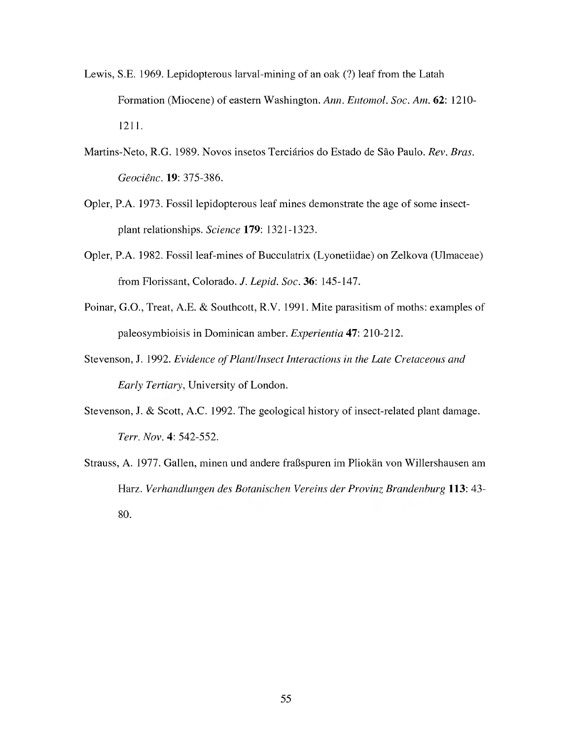- Lewis, S.E. 1969. Lepidopterous larval-mining of an oak (?) leaf from the Latah Formation (Miocene) of eastern Washington. *Ann. Entomol. Soc. Am.* 62: 1210- 1211.
- Martins-Neto, R.G. 1989. Novos insetos Terciarios do Estado de Sao Paulo. *Rev. Bras. Geociênc.* **19:** 375-386.
- Opler, P.A. 1973. Fossil lepidopterous leaf mines demonstrate the age of some insectplant relationships. *Science* **179:** 1321-1323.
- Opler, P.A. 1982. Fossil leaf-mines of Bucculatrix (Lyonetiidae) on Zelkova (Ulmaceae) from Florissant, Colorado. /. *Lepid. Soc.* 36: 145-147.
- Poinar, G.O., Treat, A.E. & Southcott, R.V. 1991. Mite parasitism of moths: examples of paleosymbioisis in Dominican amber. *Experientia* 47: 210-212.
- Stevenson, J. 1992. *Evidence ofPlantIInsect Interactions in the Late Cretaceous and Early Tertiary,* University of London.
- Stevenson, J. & Scott, A.C. 1992. The geological history of insect-related plant damage. *Terr. Nov.* 4: 542-552.
- Strauss, A. 1977. Gallen, minen und andere fraßspuren im Pliokän von Willershausen am Harz. *Verhandlungen des Botanischen Vereins der Provinz Brandenburg* **113:** 43- 80.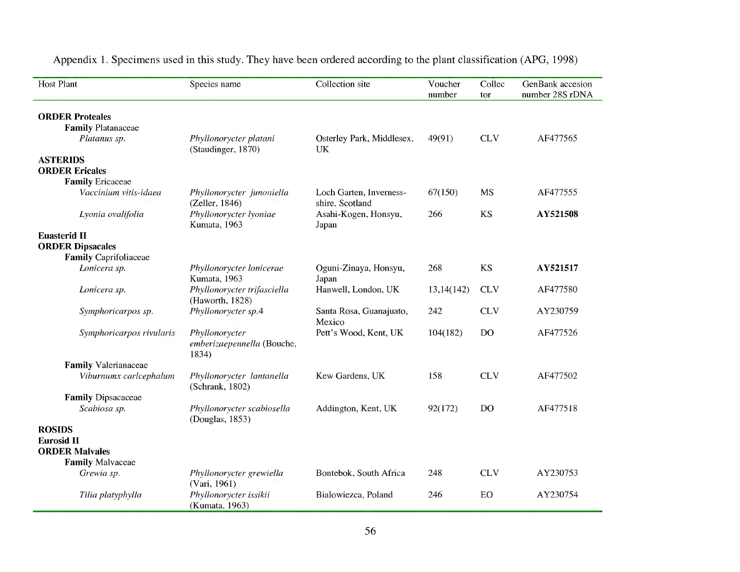| <b>Host Plant</b>            | Species name                                          | Collection site                            | Voucher<br>number | Collec<br>tor  | GenBank accesion<br>number 28S rDNA |
|------------------------------|-------------------------------------------------------|--------------------------------------------|-------------------|----------------|-------------------------------------|
| <b>ORDER Proteales</b>       |                                                       |                                            |                   |                |                                     |
| <b>Family Platanaceae</b>    |                                                       |                                            |                   |                |                                     |
| Platanus sp.                 | Phyllonorycter platani<br>(Staudinger, 1870)          | Osterley Park, Middlesex,<br>UK            | 49(91)            | <b>CLV</b>     | AF477565                            |
| <b>ASTERIDS</b>              |                                                       |                                            |                   |                |                                     |
| <b>ORDER Ericales</b>        |                                                       |                                            |                   |                |                                     |
| <b>Family Ericaceae</b>      |                                                       |                                            |                   |                |                                     |
| Vaccinium vitis-idaea        | Phyllonorycter junoniella<br>(Zeller, 1846)           | Loch Garten, Inverness-<br>shire, Scotland | 67(150)           | <b>MS</b>      | AF477555                            |
| Lyonia ovalifolia            | Phyllonorycter lyoniae<br>Kumata, 1963                | Asahi-Kogen, Honsyu,<br>Japan              | 266               | <b>KS</b>      | AY521508                            |
| <b>Euasterid II</b>          |                                                       |                                            |                   |                |                                     |
| <b>ORDER Dipsacales</b>      |                                                       |                                            |                   |                |                                     |
| <b>Family Caprifoliaceae</b> |                                                       |                                            |                   |                |                                     |
| Lonicera sp.                 | Phyllonorycter lonicerae<br>Kumata, 1963              | Oguni-Zinaya, Honsyu,<br>Japan             | 268               | <b>KS</b>      | AY521517                            |
| Lonicera sp.                 | Phyllonorycter trifasciella<br>(Haworth, 1828)        | Hanwell, London, UK                        | 13,14(142)        | <b>CLV</b>     | AF477580                            |
| Symphoricarpos sp.           | Phyllonorycter sp.4                                   | Santa Rosa, Guanajuato,<br>Mexico          | 242               | <b>CLV</b>     | AY230759                            |
| Symphoricarpos rivularis     | Phyllonorycter<br>emberizaepennella (Bouche,<br>1834) | Pett's Wood, Kent, UK                      | 104(182)          | D <sub>O</sub> | AF477526                            |
| <b>Family Valerianaceae</b>  |                                                       |                                            |                   |                |                                     |
| Viburnumx carlcephalum       | Phyllonorycter lantanella<br>(Schrank, 1802)          | Kew Gardens, UK                            | 158               | <b>CLV</b>     | AF477502                            |
| <b>Family Dipsacaceae</b>    |                                                       |                                            |                   |                |                                     |
| Scabiosa sp.                 | Phyllonorycter scabiosella<br>(Douglas, 1853)         | Addington, Kent, UK                        | 92(172)           | D <sub>O</sub> | AF477518                            |
| <b>ROSIDS</b>                |                                                       |                                            |                   |                |                                     |
| <b>Eurosid II</b>            |                                                       |                                            |                   |                |                                     |
| <b>ORDER Malvales</b>        |                                                       |                                            |                   |                |                                     |
| <b>Family Malvaceae</b>      |                                                       |                                            |                   |                |                                     |
| Grewia sp.                   | Phyllonorycter grewiella<br>(Vari, 1961)              | Bontebok, South Africa                     | 248               | <b>CLV</b>     | AY230753                            |
| Tilia platyphylla            | Phyllonorycter issikii<br>(Kumata, 1963)              | Bialowiezca, Poland                        | 246               | EO             | AY230754                            |

Appendix 1. Specimens used in this study. They have been ordered according to the plant classification (APG, 1998)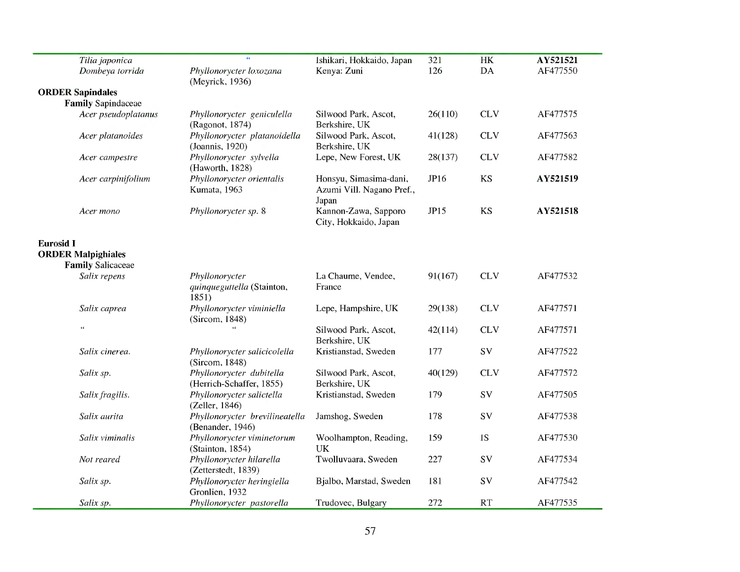| Tilia japonica                                        | $\epsilon$                                            | Ishikari, Hokkaido, Japan                                    | 321     | $\rm{HK}$  | AY521521 |
|-------------------------------------------------------|-------------------------------------------------------|--------------------------------------------------------------|---------|------------|----------|
| Dombeya torrida                                       | Phyllonorycter loxozana<br>(Meyrick, 1936)            | Kenya: Zuni                                                  | 126     | DA         | AF477550 |
| <b>ORDER Sapindales</b>                               |                                                       |                                                              |         |            |          |
| <b>Family Sapindaceae</b>                             |                                                       |                                                              |         |            |          |
| Acer pseudoplatanus                                   | Phyllonorycter geniculella<br>(Ragonot, 1874)         | Silwood Park, Ascot,<br>Berkshire, UK                        | 26(110) | <b>CLV</b> | AF477575 |
| Acer platanoides                                      | Phyllonorycter platanoidella<br>(Joannis, 1920)       | Silwood Park, Ascot,<br>Berkshire, UK                        | 41(128) | <b>CLV</b> | AF477563 |
| Acer campestre                                        | Phyllonorycter sylvella<br>(Haworth, 1828)            | Lepe, New Forest, UK                                         | 28(137) | <b>CLV</b> | AF477582 |
| Acer carpinifolium                                    | Phyllonorycter orientalis<br>Kumata, 1963             | Honsyu, Simasima-dani,<br>Azumi Vill. Nagano Pref.,<br>Japan | JP16    | <b>KS</b>  | AY521519 |
| Acer mono                                             | Phyllonorycter sp. 8                                  | Kannon-Zawa, Sapporo<br>City, Hokkaido, Japan                | JP15    | <b>KS</b>  | AY521518 |
| <b>Eurosid I</b>                                      |                                                       |                                                              |         |            |          |
| <b>ORDER Malpighiales</b><br><b>Family Salicaceae</b> |                                                       |                                                              |         |            |          |
| Salix repens                                          | Phyllonorycter<br>quinqueguttella (Stainton,<br>1851) | La Chaume, Vendee,<br>France                                 | 91(167) | <b>CLV</b> | AF477532 |
| Salix caprea                                          | Phyllonorycter viminiella<br>(Sircom, 1848)           | Lepe, Hampshire, UK                                          | 29(138) | <b>CLV</b> | AF477571 |
| $\alpha$                                              |                                                       | Silwood Park, Ascot,<br>Berkshire, UK                        | 42(114) | <b>CLV</b> | AF477571 |
| Salix cinerea.                                        | Phyllonorycter salicicolella<br>(Sircom, 1848)        | Kristianstad, Sweden                                         | 177     | SV         | AF477522 |
| Salix sp.                                             | Phyllonorycter dubitella<br>(Herrich-Schaffer, 1855)  | Silwood Park, Ascot,<br>Berkshire, UK                        | 40(129) | <b>CLV</b> | AF477572 |
| Salix fragilis.                                       | Phyllonorycter salictella<br>(Zeller, 1846)           | Kristianstad, Sweden                                         | 179     | SV         | AF477505 |
| Salix aurita                                          | Phyllonorycter brevilineatella<br>(Benander, 1946)    | Jamshog, Sweden                                              | 178     | SV         | AF477538 |
| Salix viminalis                                       | Phyllonorycter viminetorum<br>(Stainton, 1854)        | Woolhampton, Reading,<br><b>UK</b>                           | 159     | 1S         | AF477530 |
| Not reared                                            | Phyllonorycter hilarella<br>(Zetterstedt, 1839)       | Twolluvaara, Sweden                                          | 227     | SV         | AF477534 |
| Salix sp.                                             | Phyllonorycter heringiella<br>Gronlien, 1932          | Bjalbo, Marstad, Sweden                                      | 181     | SV         | AF477542 |
| Salix sp.                                             | Phyllonorycter pastorella                             | Trudovec, Bulgary                                            | 272     | RT         | AF477535 |

a.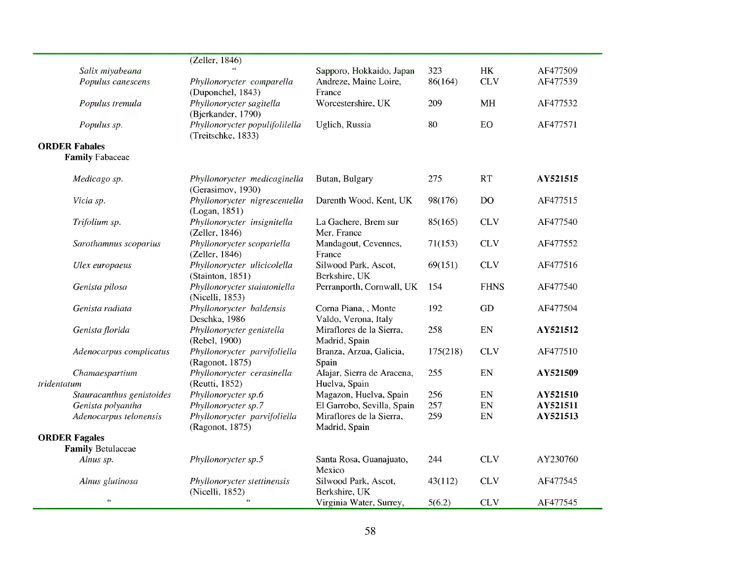|                           | (Zeller, 1846)                 |                            |          |             |          |
|---------------------------|--------------------------------|----------------------------|----------|-------------|----------|
| Salix miyabeana           |                                | Sapporo, Hokkaido, Japan   | 323      | HK          | AF477509 |
| Populus canescens         | Phyllonorycter comparella      | Andreze, Maine Loire,      | 86(164)  | <b>CLV</b>  | AF477539 |
|                           | (Duponchel, 1843)              | France                     |          |             |          |
| Populus tremula           | Phyllonorycter sagitella       | Worcestershire, UK         | 209      | <b>MH</b>   | AF477532 |
|                           | (Bjerkander, 1790)             |                            |          |             |          |
| Populus sp.               | Phyllonorycter populifolilella | Uglich, Russia             | 80       | ${\rm EO}$  | AF477571 |
|                           | (Treitschke, 1833)             |                            |          |             |          |
| <b>ORDER Fabales</b>      |                                |                            |          |             |          |
| <b>Family Fabaceae</b>    |                                |                            |          |             |          |
|                           |                                |                            |          |             |          |
| Medicago sp.              | Phyllonorycter medicaginella   | Butan, Bulgary             | 275      | RT          | AY521515 |
|                           | (Gerasimov, 1930)              |                            |          |             |          |
| Vicia sp.                 | Phyllonorycter nigrescentella  | Darenth Wood, Kent, UK     | 98(176)  | <b>DO</b>   | AF477515 |
|                           | (Logan, 1851)                  |                            |          |             |          |
| Trifolium sp.             | Phyllonorycter insignitella    | La Gachere, Brem sur       | 85(165)  | <b>CLV</b>  | AF477540 |
|                           | (Zeller, 1846)                 | Mer, France                |          |             |          |
| Sarothamnus scoparius     | Phyllonorycter scopariella     | Mandagout, Cevennes,       | 71(153)  | <b>CLV</b>  | AF477552 |
|                           | (Zeller, 1846)                 | France                     |          |             |          |
| Ulex europaeus            | Phyllonorycter ulicicolella    | Silwood Park, Ascot,       | 69(151)  | <b>CLV</b>  | AF477516 |
|                           | (Stainton, 1851)               | Berkshire, UK              |          |             |          |
| Genista pilosa            | Phyllonorycter staintoniella   | Perranporth, Cornwall, UK  | 154      | <b>FHNS</b> | AF477540 |
|                           | (Nicelli, 1853)                |                            |          |             |          |
| Genista radiata           | Phyllonorycter baldensis       | Corna Piana, , Monte       | 192      | GD          | AF477504 |
|                           | Deschka, 1986                  | Valdo, Verona, Italy       |          |             |          |
| Genista florida           | Phyllonorycter genistella      | Miraflores de la Sierra,   | 258      | EN          | AY521512 |
|                           | (Rebel, 1900)                  | Madrid, Spain              |          |             |          |
| Adenocarpus complicatus   | Phyllonorycter parvifoliella   | Branza, Arzua, Galicia,    | 175(218) | <b>CLV</b>  | AF477510 |
|                           | (Ragonot, 1875)                | Spain                      |          |             |          |
| Chamaespartium            | Phyllonorycter cerasinella     | Alajar, Sierra de Aracena, | 255      | EN          | AY521509 |
| tridentatum               | (Reutti, 1852)                 | Huelva, Spain              |          |             |          |
| Stauracanthus genistoides | Phyllonorycter sp.6            | Magazon, Huelva, Spain     | 256      | EN          | AY521510 |
| Genista polyantha         | Phyllonorycter sp.7            | El Garrobo, Sevilla, Spain | 257      | EN          | AY521511 |
| Adenocarpus telonensis    | Phyllonorycter parvifoliella   | Miraflores de la Sierra,   | 259      | EN          | AY521513 |
|                           | (Ragonot, 1875)                | Madrid, Spain              |          |             |          |
| <b>ORDER Fagales</b>      |                                |                            |          |             |          |
| <b>Family Betulaceae</b>  |                                |                            |          |             |          |
| Alnus sp.                 | Phyllonorycter sp.5            | Santa Rosa, Guanajuato,    | 244      | <b>CLV</b>  | AY230760 |
|                           |                                | Mexico                     |          |             |          |
| Alnus glutinosa           | Phyllonorycter stettinensis    | Silwood Park, Ascot,       | 43(112)  | <b>CLV</b>  | AF477545 |
|                           | (Nicelli, 1852)                | Berkshire, UK              |          |             |          |
| $\epsilon$                | $\epsilon$                     | Virginia Water, Surrey,    | 5(6.2)   | <b>CLV</b>  | AF477545 |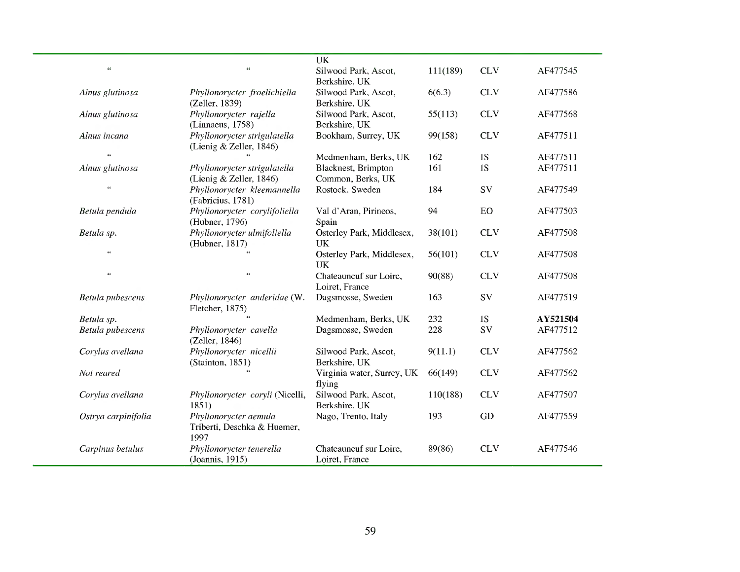| <b>UK</b><br>$\alpha$<br>$\epsilon\,\epsilon$<br>Silwood Park, Ascot,<br><b>CLV</b><br>111(189)<br>AF477545<br>Berkshire, UK<br><b>CLV</b><br>Silwood Park, Ascot,<br>6(6.3)<br>AF477586<br>Alnus glutinosa<br>Phyllonorycter froelichiella<br>Berkshire, UK<br>(Zeller, 1839)<br>Phyllonorycter rajella<br>Silwood Park, Ascot,<br><b>CLV</b><br>AF477568<br>Alnus glutinosa<br>55(113)<br>Berkshire, UK<br>(Linnaeus, 1758)<br>Phyllonorycter strigulatella<br>Bookham, Surrey, UK<br>Alnus incana<br><b>CLV</b><br>AF477511<br>99(158)<br>(Lienig & Zeller, 1846)<br>$\epsilon$<br>Medmenham, Berks, UK<br>162<br>1S<br>AF477511<br>Blacknest, Brimpton<br>1S<br>AF477511<br>Alnus glutinosa<br>161<br>Phyllonorycter strigulatella<br>(Lienig & Zeller, 1846)<br>Common, Berks, UK<br>$\epsilon\epsilon$<br>Phyllonorycter kleemannella<br>Rostock, Sweden<br>SV<br>184<br>AF477549<br>(Fabricius, 1781)<br>Phyllonorycter corylifoliella<br>EO<br>Val d'Aran, Pirineos,<br>94<br>AF477503<br>Betula pendula<br>(Hubner, 1796)<br>Spain<br>Phyllonorycter ulmifoliella<br>Osterley Park, Middlesex,<br><b>CLV</b><br>Betula sp.<br>38(101)<br>AF477508<br>(Hubner, 1817)<br><b>UK</b><br>$\epsilon\,\epsilon$<br>Osterley Park, Middlesex,<br>56(101)<br><b>CLV</b><br>AF477508<br><b>UK</b><br>$\epsilon$<br>$\epsilon$<br>Chateauneuf sur Loire,<br>90(88)<br><b>CLV</b><br>AF477508<br>Loiret, France<br>Dagsmosse, Sweden<br>163<br>SV<br>AF477519<br>Betula pubescens<br>Phyllonorycter anderidae (W.<br>Fletcher, 1875)<br>Medmenham, Berks, UK<br>232<br>1S<br>AY521504<br>Betula sp.<br><b>SV</b><br>AF477512<br>Betula pubescens<br>Dagsmosse, Sweden<br>228<br>Phyllonorycter cavella<br>(Zeller, 1846)<br>Phyllonorycter nicellii<br><b>CLV</b><br>Corylus avellana<br>Silwood Park, Ascot,<br>9(11.1)<br>AF477562<br>Berkshire, UK<br>(Stainton, 1851)<br><b>CLV</b><br>Virginia water, Surrey, UK<br>66(149)<br>AF477562<br>Not reared<br>flying<br>Silwood Park, Ascot,<br>110(188)<br><b>CLV</b><br>AF477507<br>Corylus avellana<br>Phyllonorycter coryli (Nicelli,<br>Berkshire, UK<br>1851)<br>Phyllonorycter aemula<br>Nago, Trento, Italy<br>GD<br>AF477559<br>Ostrya carpinifolia<br>193<br>Triberti, Deschka & Huemer,<br>1997<br>Phyllonorycter tenerella<br><b>CLV</b><br>Chateauneuf sur Loire,<br>89(86)<br>AF477546<br>Carpinus betulus<br>(Joannis, 1915)<br>Loiret, France |  |  |  |  |
|------------------------------------------------------------------------------------------------------------------------------------------------------------------------------------------------------------------------------------------------------------------------------------------------------------------------------------------------------------------------------------------------------------------------------------------------------------------------------------------------------------------------------------------------------------------------------------------------------------------------------------------------------------------------------------------------------------------------------------------------------------------------------------------------------------------------------------------------------------------------------------------------------------------------------------------------------------------------------------------------------------------------------------------------------------------------------------------------------------------------------------------------------------------------------------------------------------------------------------------------------------------------------------------------------------------------------------------------------------------------------------------------------------------------------------------------------------------------------------------------------------------------------------------------------------------------------------------------------------------------------------------------------------------------------------------------------------------------------------------------------------------------------------------------------------------------------------------------------------------------------------------------------------------------------------------------------------------------------------------------------------------------------------------------------------------------------------------------------------------------------------------------------------------------------------------------------------------------------------------------------------------------------------------------------------------------------------------------------------------------------------------------------------|--|--|--|--|
|                                                                                                                                                                                                                                                                                                                                                                                                                                                                                                                                                                                                                                                                                                                                                                                                                                                                                                                                                                                                                                                                                                                                                                                                                                                                                                                                                                                                                                                                                                                                                                                                                                                                                                                                                                                                                                                                                                                                                                                                                                                                                                                                                                                                                                                                                                                                                                                                            |  |  |  |  |
|                                                                                                                                                                                                                                                                                                                                                                                                                                                                                                                                                                                                                                                                                                                                                                                                                                                                                                                                                                                                                                                                                                                                                                                                                                                                                                                                                                                                                                                                                                                                                                                                                                                                                                                                                                                                                                                                                                                                                                                                                                                                                                                                                                                                                                                                                                                                                                                                            |  |  |  |  |
|                                                                                                                                                                                                                                                                                                                                                                                                                                                                                                                                                                                                                                                                                                                                                                                                                                                                                                                                                                                                                                                                                                                                                                                                                                                                                                                                                                                                                                                                                                                                                                                                                                                                                                                                                                                                                                                                                                                                                                                                                                                                                                                                                                                                                                                                                                                                                                                                            |  |  |  |  |
|                                                                                                                                                                                                                                                                                                                                                                                                                                                                                                                                                                                                                                                                                                                                                                                                                                                                                                                                                                                                                                                                                                                                                                                                                                                                                                                                                                                                                                                                                                                                                                                                                                                                                                                                                                                                                                                                                                                                                                                                                                                                                                                                                                                                                                                                                                                                                                                                            |  |  |  |  |
|                                                                                                                                                                                                                                                                                                                                                                                                                                                                                                                                                                                                                                                                                                                                                                                                                                                                                                                                                                                                                                                                                                                                                                                                                                                                                                                                                                                                                                                                                                                                                                                                                                                                                                                                                                                                                                                                                                                                                                                                                                                                                                                                                                                                                                                                                                                                                                                                            |  |  |  |  |
|                                                                                                                                                                                                                                                                                                                                                                                                                                                                                                                                                                                                                                                                                                                                                                                                                                                                                                                                                                                                                                                                                                                                                                                                                                                                                                                                                                                                                                                                                                                                                                                                                                                                                                                                                                                                                                                                                                                                                                                                                                                                                                                                                                                                                                                                                                                                                                                                            |  |  |  |  |
|                                                                                                                                                                                                                                                                                                                                                                                                                                                                                                                                                                                                                                                                                                                                                                                                                                                                                                                                                                                                                                                                                                                                                                                                                                                                                                                                                                                                                                                                                                                                                                                                                                                                                                                                                                                                                                                                                                                                                                                                                                                                                                                                                                                                                                                                                                                                                                                                            |  |  |  |  |
|                                                                                                                                                                                                                                                                                                                                                                                                                                                                                                                                                                                                                                                                                                                                                                                                                                                                                                                                                                                                                                                                                                                                                                                                                                                                                                                                                                                                                                                                                                                                                                                                                                                                                                                                                                                                                                                                                                                                                                                                                                                                                                                                                                                                                                                                                                                                                                                                            |  |  |  |  |
|                                                                                                                                                                                                                                                                                                                                                                                                                                                                                                                                                                                                                                                                                                                                                                                                                                                                                                                                                                                                                                                                                                                                                                                                                                                                                                                                                                                                                                                                                                                                                                                                                                                                                                                                                                                                                                                                                                                                                                                                                                                                                                                                                                                                                                                                                                                                                                                                            |  |  |  |  |
|                                                                                                                                                                                                                                                                                                                                                                                                                                                                                                                                                                                                                                                                                                                                                                                                                                                                                                                                                                                                                                                                                                                                                                                                                                                                                                                                                                                                                                                                                                                                                                                                                                                                                                                                                                                                                                                                                                                                                                                                                                                                                                                                                                                                                                                                                                                                                                                                            |  |  |  |  |
|                                                                                                                                                                                                                                                                                                                                                                                                                                                                                                                                                                                                                                                                                                                                                                                                                                                                                                                                                                                                                                                                                                                                                                                                                                                                                                                                                                                                                                                                                                                                                                                                                                                                                                                                                                                                                                                                                                                                                                                                                                                                                                                                                                                                                                                                                                                                                                                                            |  |  |  |  |
|                                                                                                                                                                                                                                                                                                                                                                                                                                                                                                                                                                                                                                                                                                                                                                                                                                                                                                                                                                                                                                                                                                                                                                                                                                                                                                                                                                                                                                                                                                                                                                                                                                                                                                                                                                                                                                                                                                                                                                                                                                                                                                                                                                                                                                                                                                                                                                                                            |  |  |  |  |
|                                                                                                                                                                                                                                                                                                                                                                                                                                                                                                                                                                                                                                                                                                                                                                                                                                                                                                                                                                                                                                                                                                                                                                                                                                                                                                                                                                                                                                                                                                                                                                                                                                                                                                                                                                                                                                                                                                                                                                                                                                                                                                                                                                                                                                                                                                                                                                                                            |  |  |  |  |
|                                                                                                                                                                                                                                                                                                                                                                                                                                                                                                                                                                                                                                                                                                                                                                                                                                                                                                                                                                                                                                                                                                                                                                                                                                                                                                                                                                                                                                                                                                                                                                                                                                                                                                                                                                                                                                                                                                                                                                                                                                                                                                                                                                                                                                                                                                                                                                                                            |  |  |  |  |
|                                                                                                                                                                                                                                                                                                                                                                                                                                                                                                                                                                                                                                                                                                                                                                                                                                                                                                                                                                                                                                                                                                                                                                                                                                                                                                                                                                                                                                                                                                                                                                                                                                                                                                                                                                                                                                                                                                                                                                                                                                                                                                                                                                                                                                                                                                                                                                                                            |  |  |  |  |
|                                                                                                                                                                                                                                                                                                                                                                                                                                                                                                                                                                                                                                                                                                                                                                                                                                                                                                                                                                                                                                                                                                                                                                                                                                                                                                                                                                                                                                                                                                                                                                                                                                                                                                                                                                                                                                                                                                                                                                                                                                                                                                                                                                                                                                                                                                                                                                                                            |  |  |  |  |
|                                                                                                                                                                                                                                                                                                                                                                                                                                                                                                                                                                                                                                                                                                                                                                                                                                                                                                                                                                                                                                                                                                                                                                                                                                                                                                                                                                                                                                                                                                                                                                                                                                                                                                                                                                                                                                                                                                                                                                                                                                                                                                                                                                                                                                                                                                                                                                                                            |  |  |  |  |
|                                                                                                                                                                                                                                                                                                                                                                                                                                                                                                                                                                                                                                                                                                                                                                                                                                                                                                                                                                                                                                                                                                                                                                                                                                                                                                                                                                                                                                                                                                                                                                                                                                                                                                                                                                                                                                                                                                                                                                                                                                                                                                                                                                                                                                                                                                                                                                                                            |  |  |  |  |
|                                                                                                                                                                                                                                                                                                                                                                                                                                                                                                                                                                                                                                                                                                                                                                                                                                                                                                                                                                                                                                                                                                                                                                                                                                                                                                                                                                                                                                                                                                                                                                                                                                                                                                                                                                                                                                                                                                                                                                                                                                                                                                                                                                                                                                                                                                                                                                                                            |  |  |  |  |
|                                                                                                                                                                                                                                                                                                                                                                                                                                                                                                                                                                                                                                                                                                                                                                                                                                                                                                                                                                                                                                                                                                                                                                                                                                                                                                                                                                                                                                                                                                                                                                                                                                                                                                                                                                                                                                                                                                                                                                                                                                                                                                                                                                                                                                                                                                                                                                                                            |  |  |  |  |
|                                                                                                                                                                                                                                                                                                                                                                                                                                                                                                                                                                                                                                                                                                                                                                                                                                                                                                                                                                                                                                                                                                                                                                                                                                                                                                                                                                                                                                                                                                                                                                                                                                                                                                                                                                                                                                                                                                                                                                                                                                                                                                                                                                                                                                                                                                                                                                                                            |  |  |  |  |
|                                                                                                                                                                                                                                                                                                                                                                                                                                                                                                                                                                                                                                                                                                                                                                                                                                                                                                                                                                                                                                                                                                                                                                                                                                                                                                                                                                                                                                                                                                                                                                                                                                                                                                                                                                                                                                                                                                                                                                                                                                                                                                                                                                                                                                                                                                                                                                                                            |  |  |  |  |
|                                                                                                                                                                                                                                                                                                                                                                                                                                                                                                                                                                                                                                                                                                                                                                                                                                                                                                                                                                                                                                                                                                                                                                                                                                                                                                                                                                                                                                                                                                                                                                                                                                                                                                                                                                                                                                                                                                                                                                                                                                                                                                                                                                                                                                                                                                                                                                                                            |  |  |  |  |
|                                                                                                                                                                                                                                                                                                                                                                                                                                                                                                                                                                                                                                                                                                                                                                                                                                                                                                                                                                                                                                                                                                                                                                                                                                                                                                                                                                                                                                                                                                                                                                                                                                                                                                                                                                                                                                                                                                                                                                                                                                                                                                                                                                                                                                                                                                                                                                                                            |  |  |  |  |
|                                                                                                                                                                                                                                                                                                                                                                                                                                                                                                                                                                                                                                                                                                                                                                                                                                                                                                                                                                                                                                                                                                                                                                                                                                                                                                                                                                                                                                                                                                                                                                                                                                                                                                                                                                                                                                                                                                                                                                                                                                                                                                                                                                                                                                                                                                                                                                                                            |  |  |  |  |
|                                                                                                                                                                                                                                                                                                                                                                                                                                                                                                                                                                                                                                                                                                                                                                                                                                                                                                                                                                                                                                                                                                                                                                                                                                                                                                                                                                                                                                                                                                                                                                                                                                                                                                                                                                                                                                                                                                                                                                                                                                                                                                                                                                                                                                                                                                                                                                                                            |  |  |  |  |
|                                                                                                                                                                                                                                                                                                                                                                                                                                                                                                                                                                                                                                                                                                                                                                                                                                                                                                                                                                                                                                                                                                                                                                                                                                                                                                                                                                                                                                                                                                                                                                                                                                                                                                                                                                                                                                                                                                                                                                                                                                                                                                                                                                                                                                                                                                                                                                                                            |  |  |  |  |
|                                                                                                                                                                                                                                                                                                                                                                                                                                                                                                                                                                                                                                                                                                                                                                                                                                                                                                                                                                                                                                                                                                                                                                                                                                                                                                                                                                                                                                                                                                                                                                                                                                                                                                                                                                                                                                                                                                                                                                                                                                                                                                                                                                                                                                                                                                                                                                                                            |  |  |  |  |
|                                                                                                                                                                                                                                                                                                                                                                                                                                                                                                                                                                                                                                                                                                                                                                                                                                                                                                                                                                                                                                                                                                                                                                                                                                                                                                                                                                                                                                                                                                                                                                                                                                                                                                                                                                                                                                                                                                                                                                                                                                                                                                                                                                                                                                                                                                                                                                                                            |  |  |  |  |
|                                                                                                                                                                                                                                                                                                                                                                                                                                                                                                                                                                                                                                                                                                                                                                                                                                                                                                                                                                                                                                                                                                                                                                                                                                                                                                                                                                                                                                                                                                                                                                                                                                                                                                                                                                                                                                                                                                                                                                                                                                                                                                                                                                                                                                                                                                                                                                                                            |  |  |  |  |
|                                                                                                                                                                                                                                                                                                                                                                                                                                                                                                                                                                                                                                                                                                                                                                                                                                                                                                                                                                                                                                                                                                                                                                                                                                                                                                                                                                                                                                                                                                                                                                                                                                                                                                                                                                                                                                                                                                                                                                                                                                                                                                                                                                                                                                                                                                                                                                                                            |  |  |  |  |
|                                                                                                                                                                                                                                                                                                                                                                                                                                                                                                                                                                                                                                                                                                                                                                                                                                                                                                                                                                                                                                                                                                                                                                                                                                                                                                                                                                                                                                                                                                                                                                                                                                                                                                                                                                                                                                                                                                                                                                                                                                                                                                                                                                                                                                                                                                                                                                                                            |  |  |  |  |
|                                                                                                                                                                                                                                                                                                                                                                                                                                                                                                                                                                                                                                                                                                                                                                                                                                                                                                                                                                                                                                                                                                                                                                                                                                                                                                                                                                                                                                                                                                                                                                                                                                                                                                                                                                                                                                                                                                                                                                                                                                                                                                                                                                                                                                                                                                                                                                                                            |  |  |  |  |
|                                                                                                                                                                                                                                                                                                                                                                                                                                                                                                                                                                                                                                                                                                                                                                                                                                                                                                                                                                                                                                                                                                                                                                                                                                                                                                                                                                                                                                                                                                                                                                                                                                                                                                                                                                                                                                                                                                                                                                                                                                                                                                                                                                                                                                                                                                                                                                                                            |  |  |  |  |
|                                                                                                                                                                                                                                                                                                                                                                                                                                                                                                                                                                                                                                                                                                                                                                                                                                                                                                                                                                                                                                                                                                                                                                                                                                                                                                                                                                                                                                                                                                                                                                                                                                                                                                                                                                                                                                                                                                                                                                                                                                                                                                                                                                                                                                                                                                                                                                                                            |  |  |  |  |
|                                                                                                                                                                                                                                                                                                                                                                                                                                                                                                                                                                                                                                                                                                                                                                                                                                                                                                                                                                                                                                                                                                                                                                                                                                                                                                                                                                                                                                                                                                                                                                                                                                                                                                                                                                                                                                                                                                                                                                                                                                                                                                                                                                                                                                                                                                                                                                                                            |  |  |  |  |

 $\sim$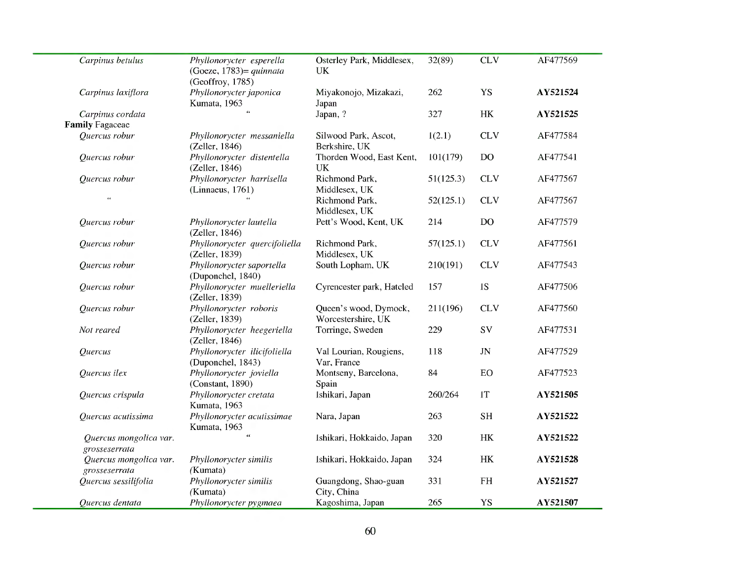| Carpinus betulus                           | Phyllonorycter esperella<br>(Goeze, 1783) = quinnata<br>(Geoffroy, 1785) | Osterley Park, Middlesex,<br>UK             | 32(89)    | CLV                             | AF477569 |
|--------------------------------------------|--------------------------------------------------------------------------|---------------------------------------------|-----------|---------------------------------|----------|
| Carpinus laxiflora                         | Phyllonorycter japonica<br>Kumata, 1963                                  | Miyakonojo, Mizakazi,<br>Japan              | 262       | <b>YS</b>                       | AY521524 |
| Carpinus cordata<br><b>Family Fagaceae</b> | $\alpha$                                                                 | Japan, ?                                    | 327       | $\rm{HK}$                       | AY521525 |
| Quercus robur                              | Phyllonorycter messaniella<br>(Zeller, 1846)                             | Silwood Park, Ascot,<br>Berkshire, UK       | 1(2.1)    | <b>CLV</b>                      | AF477584 |
| Quercus robur                              | Phyllonorycter distentella<br>(Zeller, 1846)                             | Thorden Wood, East Kent,<br><b>UK</b>       | 101(179)  | D <sub>O</sub>                  | AF477541 |
| Quercus robur                              | Phyllonorycter harrisella<br>(Linnaeus, 1761)                            | Richmond Park,<br>Middlesex, UK             | 51(125.3) | CLV                             | AF477567 |
| $\epsilon\,\epsilon$                       |                                                                          | Richmond Park,<br>Middlesex, UK             | 52(125.1) | <b>CLV</b>                      | AF477567 |
| Quercus robur                              | Phyllonorycter lautella<br>(Zeller, 1846)                                | Pett's Wood, Kent, UK                       | 214       | DO                              | AF477579 |
| Quercus robur                              | Phyllonorycter quercifoliella<br>(Zeller, 1839)                          | Richmond Park,<br>Middlesex, UK             | 57(125.1) | CLV                             | AF477561 |
| Quercus robur                              | Phyllonorycter saportella<br>(Duponchel, 1840)                           | South Lopham, UK                            | 210(191)  | <b>CLV</b>                      | AF477543 |
| Quercus robur                              | Phyllonorycter muelleriella<br>(Zeller, 1839)                            | Cyrencester park, Hatcled                   | 157       | 1S                              | AF477506 |
| Quercus robur                              | Phyllonorycter roboris<br>(Zeller, 1839)                                 | Queen's wood, Dymock,<br>Worcestershire, UK | 211(196)  | <b>CLV</b>                      | AF477560 |
| Not reared                                 | Phyllonorycter heegeriella<br>(Zeller, 1846)                             | Torringe, Sweden                            | 229       | SV                              | AF477531 |
| Quercus                                    | Phyllonorycter ilicifoliella<br>(Duponchel, 1843)                        | Val Lourian, Rougiens,<br>Var, France       | 118       | $\ensuremath{\text{J}\text{N}}$ | AF477529 |
| Quercus ilex                               | Phyllonorycter joviella<br>(Constant, 1890)                              | Montseny, Barcelona,<br>Spain               | 84        | EO                              | AF477523 |
| Quercus crispula                           | Phyllonorycter cretata<br>Kumata, 1963                                   | Ishikari, Japan                             | 260/264   | <b>T</b>                        | AY521505 |
| Quercus acutissima                         | Phyllonorycter acutissimae<br>Kumata, 1963                               | Nara, Japan                                 | 263       | <b>SH</b>                       | AY521522 |
| Quercus mongolica var.<br>grosseserrata    | $\epsilon$                                                               | Ishikari, Hokkaido, Japan                   | 320       | HK                              | AY521522 |
| Quercus mongolica var.<br>grosseserrata    | Phyllonorycter similis<br>(Kumata)                                       | Ishikari, Hokkaido, Japan                   | 324       | HK                              | AY521528 |
| Quercus sessilifolia                       | Phyllonorycter similis<br>(Kumata)                                       | Guangdong, Shao-guan<br>City, China         | 331       | <b>FH</b>                       | AY521527 |
| Quercus dentata                            | Phyllonorycter pygmaea                                                   | Kagoshima, Japan                            | 265       | YS                              | AY521507 |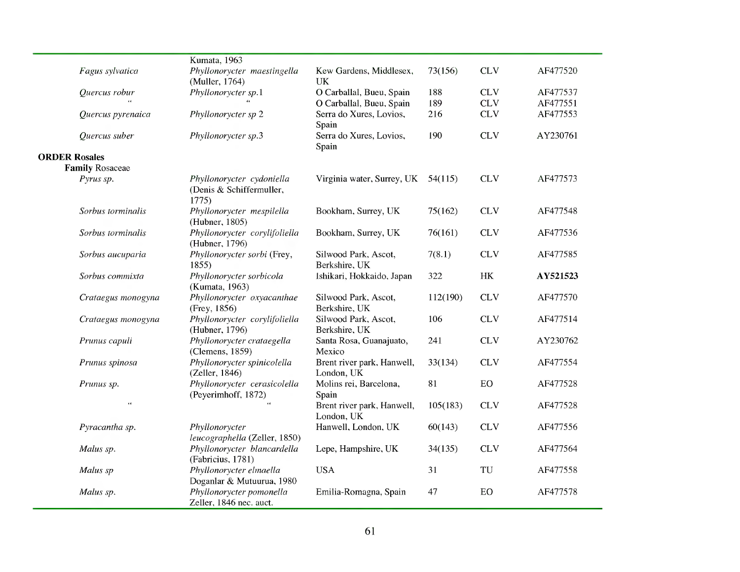|                      |                        | Kumata, 1963                                                   |                                          |          |            |          |
|----------------------|------------------------|----------------------------------------------------------------|------------------------------------------|----------|------------|----------|
|                      | Fagus sylvatica        | Phyllonorycter maestingella<br>(Muller, 1764)                  | Kew Gardens, Middlesex,<br><b>UK</b>     | 73(156)  | <b>CLV</b> | AF477520 |
|                      | Quercus robur          | Phyllonorycter sp.1                                            | O Carballal, Bueu, Spain                 | 188      | <b>CLV</b> | AF477537 |
|                      |                        |                                                                | O Carballal, Bueu, Spain                 | 189      | <b>CLV</b> | AF477551 |
|                      | Quercus pyrenaica      | Phyllonorycter sp 2                                            | Serra do Xures, Lovios,<br>Spain         | 216      | <b>CLV</b> | AF477553 |
|                      | Quercus suber          | Phyllonorycter sp.3                                            | Serra do Xures, Lovios,<br>Spain         | 190      | <b>CLV</b> | AY230761 |
| <b>ORDER Rosales</b> |                        |                                                                |                                          |          |            |          |
|                      | <b>Family Rosaceae</b> |                                                                |                                          |          |            |          |
|                      | Pyrus sp.              | Phyllonorycter cydoniella<br>(Denis & Schiffermuller,<br>1775) | Virginia water, Surrey, UK 54(115)       |          | <b>CLV</b> | AF477573 |
|                      | Sorbus torminalis      | Phyllonorycter mespilella<br>(Hubner, 1805)                    | Bookham, Surrey, UK                      | 75(162)  | <b>CLV</b> | AF477548 |
|                      | Sorbus torminalis      | Phyllonorycter corylifoliella<br>(Hubner, 1796)                | Bookham, Surrey, UK                      | 76(161)  | <b>CLV</b> | AF477536 |
|                      | Sorbus aucuparia       | Phyllonorycter sorbi (Frey,<br>1855                            | Silwood Park, Ascot,<br>Berkshire, UK    | 7(8.1)   | <b>CLV</b> | AF477585 |
|                      | Sorbus commixta        | Phyllonorycter sorbicola<br>(Kumata, 1963)                     | Ishikari, Hokkaido, Japan                | 322      | HK         | AY521523 |
|                      | Crataegus monogyna     | Phyllonorycter oxyacanthae<br>(Frey, 1856)                     | Silwood Park, Ascot,<br>Berkshire, UK    | 112(190) | <b>CLV</b> | AF477570 |
|                      | Crataegus monogyna     | Phyllonorycter corylifoliella<br>(Hubner, 1796)                | Silwood Park, Ascot,<br>Berkshire, UK    | 106      | <b>CLV</b> | AF477514 |
|                      | Prunus capuli          | Phyllonorycter crataegella<br>(Clemens, 1859)                  | Santa Rosa, Guanajuato,<br>Mexico        | 241      | <b>CLV</b> | AY230762 |
|                      | Prunus spinosa         | Phyllonorycter spinicolella<br>(Zeller, 1846)                  | Brent river park, Hanwell,<br>London, UK | 33(134)  | <b>CLV</b> | AF477554 |
|                      | Prunus sp.             | Phyllonorycter cerasicolella<br>(Peyerimhoff, 1872)            | Molins rei, Barcelona,<br>Spain          | 81       | EO         | AF477528 |
|                      | $\epsilon$             |                                                                | Brent river park, Hanwell,<br>London, UK | 105(183) | <b>CLV</b> | AF477528 |
|                      | Pyracantha sp.         | Phyllonorycter<br>leucographella (Zeller, 1850)                | Hanwell, London, UK                      | 60(143)  | <b>CLV</b> | AF477556 |
|                      | Malus sp.              | Phyllonorycter blancardella<br>(Fabricius, 1781)               | Lepe, Hampshire, UK                      | 34(135)  | <b>CLV</b> | AF477564 |
|                      | Malus sp               | Phyllonorycter elmaella<br>Doganlar & Mutuurua, 1980           | <b>USA</b>                               | 31       | TU         | AF477558 |
|                      | Malus sp.              | Phyllonorycter pomonella<br>Zeller, 1846 nec. auct.            | Emilia-Romagna, Spain                    | 47       | EO         | AF477578 |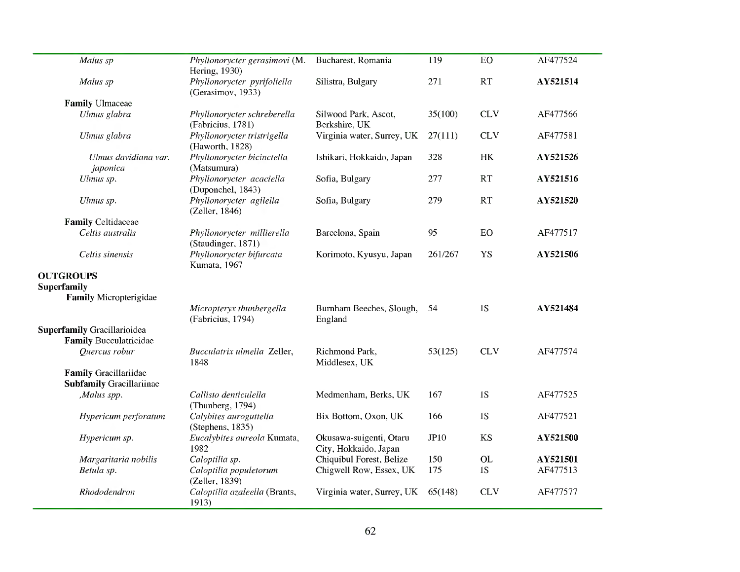| Malus sp                                                            | Phyllonorycter gerasimovi (M.<br>Hering, 1930)   | Bucharest, Romania                               | 119         | EO         | AF477524 |
|---------------------------------------------------------------------|--------------------------------------------------|--------------------------------------------------|-------------|------------|----------|
| Malus sp                                                            | Phyllonorycter pyrifoliella<br>(Gerasimov, 1933) | Silistra, Bulgary                                | 271         | RT         | AY521514 |
| <b>Family Ulmaceae</b>                                              |                                                  |                                                  |             |            |          |
| Ulmus glabra                                                        | Phyllonorycter schreberella<br>(Fabricius, 1781) | Silwood Park, Ascot,<br>Berkshire, UK            | 35(100)     | <b>CLV</b> | AF477566 |
| Ulmus glabra                                                        | Phyllonorycter tristrigella<br>(Haworth, 1828)   | Virginia water, Surrey, UK                       | 27(111)     | <b>CLV</b> | AF477581 |
| Ulmus davidiana var.<br>japonica                                    | Phyllonorycter bicinctella<br>(Matsumura)        | Ishikari, Hokkaido, Japan                        | 328         | HK         | AY521526 |
| Ulmus sp.                                                           | Phyllonorycter acaciella<br>(Duponchel, 1843)    | Sofia, Bulgary                                   | 277         | <b>RT</b>  | AY521516 |
| Ulmus sp.                                                           | Phyllonorycter agilella<br>(Zeller, 1846)        | Sofia, Bulgary                                   | 279         | RT         | AY521520 |
| <b>Family Celtidaceae</b>                                           |                                                  |                                                  |             |            |          |
| Celtis australis                                                    | Phyllonorycter millierella<br>(Staudinger, 1871) | Barcelona, Spain                                 | 95          | <b>EO</b>  | AF477517 |
| Celtis sinensis                                                     | Phyllonorycter bifurcata<br>Kumata, 1967         | Korimoto, Kyusyu, Japan                          | 261/267     | YS         | AY521506 |
| <b>OUTGROUPS</b><br><b>Superfamily</b><br>Family Micropterigidae    |                                                  |                                                  |             |            |          |
|                                                                     | Micropteryx thunbergella<br>(Fabricius, 1794)    | Burnham Beeches, Slough,<br>England              | 54          | 1S         | AY521484 |
| <b>Superfamily Gracillarioidea</b><br><b>Family Bucculatricidae</b> |                                                  |                                                  |             |            |          |
| Quercus robur                                                       | Bucculatrix ulmella Zeller,<br>1848              | Richmond Park,<br>Middlesex, UK                  | 53(125)     | <b>CLV</b> | AF477574 |
| Family Gracillariidae<br><b>Subfamily Gracillariinae</b>            |                                                  |                                                  |             |            |          |
| ,Malus spp.                                                         | Callisto denticulella<br>(Thunberg, 1794)        | Medmenham, Berks, UK                             | 167         | 1S         | AF477525 |
| Hypericum perforatum                                                | Calybites auroguttella<br>(Stephens, 1835)       | Bix Bottom, Oxon, UK                             | 166         | 1S         | AF477521 |
| Hypericum sp.                                                       | Eucalybites aureola Kumata,<br>1982              | Okusawa-suigenti, Otaru<br>City, Hokkaido, Japan | <b>JP10</b> | <b>KS</b>  | AY521500 |
| Margaritaria nobilis                                                | Caloptilia sp.                                   | Chiquibul Forest, Belize                         | 150         | OL         | AY521501 |
| Betula sp.                                                          | Caloptilia populetorum<br>(Zeller, 1839)         | Chigwell Row, Essex, UK                          | 175         | 1S         | AF477513 |
| Rhododendron                                                        | Caloptilia azaleella (Brants,<br>1913)           | Virginia water, Surrey, UK                       | 65(148)     | <b>CLV</b> | AF477577 |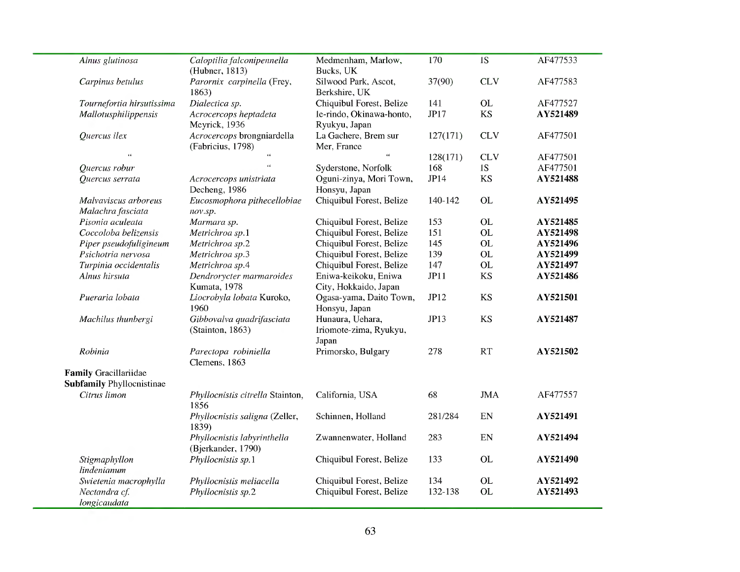| Alnus glutinosa                           | Caloptilia falconipennella<br>(Hubner, 1813)                                                             | Medmenham, Marlow,<br>Bucks, UK                                                               | 170                                                                                                                                                                                           | 1S                       | AF477533                            |
|-------------------------------------------|----------------------------------------------------------------------------------------------------------|-----------------------------------------------------------------------------------------------|-----------------------------------------------------------------------------------------------------------------------------------------------------------------------------------------------|--------------------------|-------------------------------------|
| Carpinus betulus                          | Parornix carpinella (Frey,<br>1863)                                                                      | Silwood Park, Ascot,<br>Berkshire, UK                                                         | 37(90)                                                                                                                                                                                        | <b>CLV</b>               | AF477583                            |
| Tournefortia hirsutissima                 | Dialectica sp.                                                                                           | Chiquibul Forest, Belize                                                                      | 141                                                                                                                                                                                           | <b>OL</b>                | AF477527                            |
| Mallotusphilippensis                      | Acrocercops heptadeta<br>Meyrick, 1936                                                                   | le-rindo, Okinawa-honto,<br>Ryukyu, Japan                                                     | JP17                                                                                                                                                                                          | KS                       | AY521489                            |
| Quercus ilex                              | Acrocercops brongniardella<br>(Fabricius, 1798)                                                          | La Gachere, Brem sur<br>Mer, France                                                           | 127(171)                                                                                                                                                                                      | <b>CLV</b>               | AF477501                            |
| $\epsilon\,\bar{\epsilon}$                | $\epsilon$                                                                                               | $\epsilon\epsilon$                                                                            | 128(171)                                                                                                                                                                                      | <b>CLV</b>               | AF477501                            |
| Quercus robur                             | $\epsilon$                                                                                               | Syderstone, Norfolk                                                                           | 168                                                                                                                                                                                           | 1S                       | AF477501                            |
| Quercus serrata                           | Acrocercops unistriata<br>Decheng, 1986                                                                  | Honsyu, Japan                                                                                 | JP14                                                                                                                                                                                          | KS                       | AY521488                            |
| Malvaviscus arboreus<br>Malachra fasciata | Eucosmophora pithecellobiae<br>nov.sp.                                                                   | Chiquibul Forest, Belize                                                                      | 140-142                                                                                                                                                                                       | <b>OL</b>                | AY521495                            |
| Pisonia aculeata                          | Marmara sp.                                                                                              | Chiquibul Forest, Belize                                                                      | 153                                                                                                                                                                                           | <b>OL</b>                | AY521485                            |
| Coccoloba belizensis                      | Metrichroa sp.1                                                                                          |                                                                                               |                                                                                                                                                                                               | <b>OL</b>                | AY521498                            |
| Piper pseudofuligineum                    | Metrichroa sp.2                                                                                          |                                                                                               |                                                                                                                                                                                               |                          | AY521496                            |
|                                           |                                                                                                          |                                                                                               |                                                                                                                                                                                               |                          | AY521499                            |
|                                           |                                                                                                          |                                                                                               |                                                                                                                                                                                               |                          | AY521497                            |
| Alnus hirsuta                             | Dendrorycter marmaroides<br>Kumata, 1978                                                                 | Eniwa-keikoku, Eniwa<br>City, Hokkaido, Japan                                                 | JPI1                                                                                                                                                                                          | <b>KS</b>                | AY521486                            |
| Pueraria lobata                           | Liocrobyla lobata Kuroko,<br>1960                                                                        | Ogasa-yama, Daito Town,                                                                       | JP12                                                                                                                                                                                          | <b>KS</b>                | AY521501                            |
| Machilus thunbergi                        | Gibbovalva quadrifasciata<br>(Stainton, 1863)                                                            | Hunaura, Uehara,<br>Iriomote-zima, Ryukyu,                                                    | JP13                                                                                                                                                                                          | KS                       | AY521487                            |
| Robinia                                   | Parectopa robiniella<br>Clemens, 1863                                                                    | Primorsko, Bulgary                                                                            | 278                                                                                                                                                                                           | RT                       | AY521502                            |
| Family Gracillariidae                     |                                                                                                          |                                                                                               |                                                                                                                                                                                               |                          |                                     |
| Citrus limon                              | Phyllocnistis citrella Stainton,<br>1856                                                                 | California, USA                                                                               | 68                                                                                                                                                                                            | <b>JMA</b>               | AF477557                            |
|                                           | Phyllocnistis saligna (Zeller,                                                                           | Schinnen, Holland                                                                             | 281/284                                                                                                                                                                                       | EN                       | AY521491                            |
|                                           | Phyllocnistis labyrinthella                                                                              | Zwannenwater, Holland                                                                         | 283                                                                                                                                                                                           | EN                       | AY521494                            |
| Stigmaphyllon<br>lindenianum              | Phyllocnistis sp.1                                                                                       | Chiquibul Forest, Belize                                                                      | 133                                                                                                                                                                                           | <b>OL</b>                | AY521490                            |
|                                           |                                                                                                          |                                                                                               | 134                                                                                                                                                                                           | <b>OL</b>                | AY521492                            |
| Nectandra cf.<br>longicaudata             | Phyllocnistis sp.2                                                                                       | Chiquibul Forest, Belize                                                                      | 132-138                                                                                                                                                                                       | <b>OL</b>                | AY521493                            |
|                                           | Psichotria nervosa<br>Turpinia occidentalis<br><b>Subfamily Phyllocnistinae</b><br>Swietenia macrophylla | Metrichroa sp.3<br>Metrichroa sp.4<br>1839)<br>(Bjerkander, 1790)<br>Phyllocnistis meliacella | Oguni-zinya, Mori Town,<br>Chiquibul Forest, Belize<br>Chiquibul Forest, Belize<br>Chiquibul Forest, Belize<br>Chiquibul Forest, Belize<br>Honsyu, Japan<br>Japan<br>Chiquibul Forest, Belize | 151<br>145<br>139<br>147 | <b>OL</b><br><b>OL</b><br><b>OL</b> |